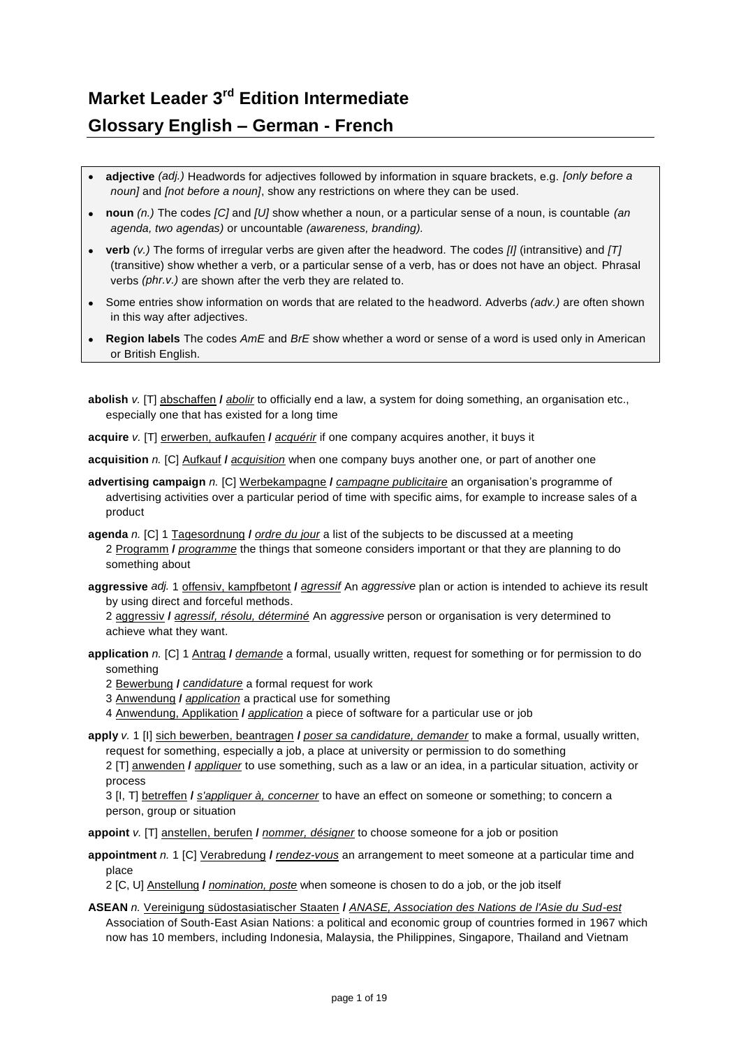## **Market Leader 3rd Edition Intermediate Glossary English – German - French**

- **adjective** *(adj.)* Headwords for adjectives followed by information in square brackets, e.g. *[only before a noun]* and *[not before a noun]*, show any restrictions on where they can be used.
- **noun** *(n.)* The codes *[C]* and *[U]* show whether a noun, or a particular sense of a noun, is countable *(an agenda, two agendas)* or uncountable *(awareness, branding).*
- **verb** *(v.)* The forms of irregular verbs are given after the headword. The codes *[I]* (intransitive) and *[T]* (transitive) show whether a verb, or a particular sense of a verb, has or does not have an object. Phrasal verbs *(phr.v.)* are shown after the verb they are related to.
- Some entries show information on words that are related to the headword. Adverbs *(adv.)* are often shown in this way after adjectives.
- **Region labels** The codes *AmE* and *BrE* show whether a word or sense of a word is used only in American or British English.
- **abolish** *v.* [T] abschaffen **/** *abolir* to officially end a law, a system for doing something, an organisation etc., especially one that has existed for a long time
- **acquire** *v.* [T] erwerben, aufkaufen **/** *acquérir* if one company acquires another, it buys it

**acquisition** *n.* [C] Aufkauf **/** *acquisition* when one company buys another one, or part of another one

- **advertising campaign** *n.* [C] Werbekampagne **/** *campagne publicitaire* an organisation's programme of advertising activities over a particular period of time with specific aims, for example to increase sales of a product
- **agenda** *n.* [C] 1 Tagesordnung **/** *ordre du jour* a list of the subjects to be discussed at a meeting 2 Programm **/** *programme* the things that someone considers important or that they are planning to do something about
- **aggressive** *adj.* 1 offensiv, kampfbetont **/** *agressif* An *aggressive* plan or action is intended to achieve its result by using direct and forceful methods.

2 aggressiv **/** *agressif, résolu, déterminé* An *aggressive* person or organisation is very determined to achieve what they want.

**application** *n.* [C] 1 Antrag **/** *demande* a formal, usually written, request for something or for permission to do something

2 Bewerbung **/** *candidature* a formal request for work

3 Anwendung **/** *application* a practical use for something

4 Anwendung, Applikation **/** *application* a piece of software for a particular use or job

**apply** *v.* 1 [I] sich bewerben, beantragen **/** *poser sa candidature, demander* to make a formal, usually written, request for something, especially a job, a place at university or permission to do something

2 [T] anwenden **/** *appliquer* to use something, such as a law or an idea, in a particular situation, activity or process

3 [I, T] betreffen **/** *s'appliquer à, concerner* to have an effect on someone or something; to concern a person, group or situation

**appoint** *v.* [T] anstellen, berufen **/** *nommer, désigner* to choose someone for a job or position

**appointment** *n.* 1 [C] Verabredung **/** *rendez-vous* an arrangement to meet someone at a particular time and place

2 [C, U] Anstellung **/** *nomination, poste* when someone is chosen to do a job, or the job itself

**ASEAN** *n.* Vereinigung südostasiatischer Staaten **/** *ANASE, Association des Nations de l'Asie du Sud-est* Association of South-East Asian Nations: a political and economic group of countries formed in 1967 which now has 10 members, including Indonesia, Malaysia, the Philippines, Singapore, Thailand and Vietnam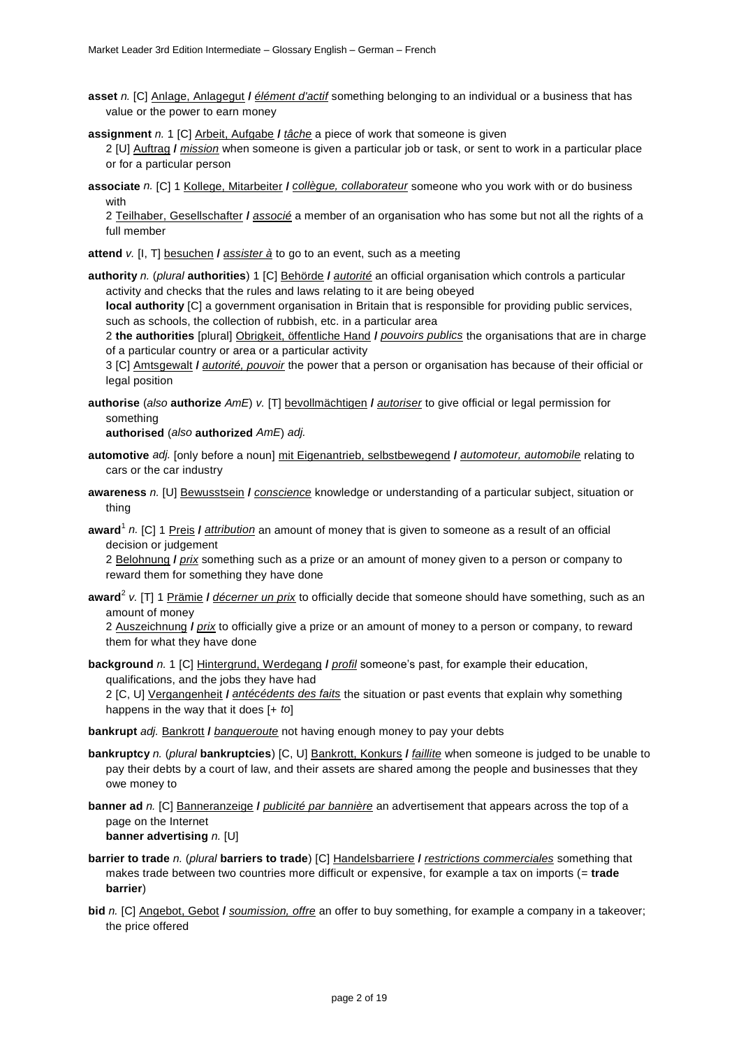- **asset** *n.* [C] Anlage, Anlagegut **/** *élément d'actif* something belonging to an individual or a business that has value or the power to earn money
- **assignment** *n.* 1 [C] Arbeit, Aufgabe **/** *tâche* a piece of work that someone is given 2 [U] Auftrag **/** *mission* when someone is given a particular job or task, or sent to work in a particular place or for a particular person
- **associate** *n.* [C] 1 Kollege, Mitarbeiter **/** *collègue, collaborateur* someone who you work with or do business with

2 Teilhaber, Gesellschafter **/** *associé* a member of an organisation who has some but not all the rights of a full member

**attend** *v.* [I, T] besuchen **/** *assister à* to go to an event, such as a meeting

**authority** *n.* (*plural* **authorities**) 1 [C] Behörde **/** *autorité* an official organisation which controls a particular activity and checks that the rules and laws relating to it are being obeyed

**local authority** [C] a government organisation in Britain that is responsible for providing public services, such as schools, the collection of rubbish, etc. in a particular area

2 **the authorities** [plural] Obrigkeit, öffentliche Hand **/** *pouvoirs publics* the organisations that are in charge of a particular country or area or a particular activity

3 [C] Amtsgewalt **/** *autorité, pouvoir* the power that a person or organisation has because of their official or legal position

**authorise** (*also* **authorize** *AmE*) *v.* [T] bevollmächtigen **/** *autoriser* to give official or legal permission for something

**authorised** (*also* **authorized** *AmE*) *adj.*

- **automotive** *adj.* [only before a noun] mit Eigenantrieb, selbstbewegend **/** *automoteur, automobile* relating to cars or the car industry
- **awareness** *n.* [U] Bewusstsein **/** *conscience* knowledge or understanding of a particular subject, situation or thing
- **award**<sup>1</sup> *n.* [C] 1 Preis **/** *attribution* an amount of money that is given to someone as a result of an official decision or judgement

2 Belohnung **/** *prix* something such as a prize or an amount of money given to a person or company to reward them for something they have done

**award**<sup>2</sup> *v.* [T] 1 Prämie **/** *décerner un prix* to officially decide that someone should have something, such as an amount of money

2 Auszeichnung **/** *prix* to officially give a prize or an amount of money to a person or company, to reward them for what they have done

**background** *n.* 1 [C] Hintergrund, Werdegang **/** *profil* someone's past, for example their education, qualifications, and the jobs they have had

2 [C, U] Vergangenheit **/** *antécédents des faits* the situation or past events that explain why something happens in the way that it does [+ *to*]

**bankrupt** *adj.* Bankrott **/** *banqueroute* not having enough money to pay your debts

- **bankruptcy** *n.* (*plural* **bankruptcies**) [C, U] Bankrott, Konkurs **/** *faillite* when someone is judged to be unable to pay their debts by a court of law, and their assets are shared among the people and businesses that they owe money to
- **banner ad** *n.* [C] Banneranzeige **/** *publicité par bannière* an advertisement that appears across the top of a page on the Internet **banner advertising** *n.* [U]
- **barrier to trade** *n.* (*plural* **barriers to trade**) [C] Handelsbarriere **/** *restrictions commerciales* something that makes trade between two countries more difficult or expensive, for example a tax on imports (= **trade barrier**)
- **bid** *n.* [C] Angebot, Gebot **/** *soumission, offre* an offer to buy something, for example a company in a takeover; the price offered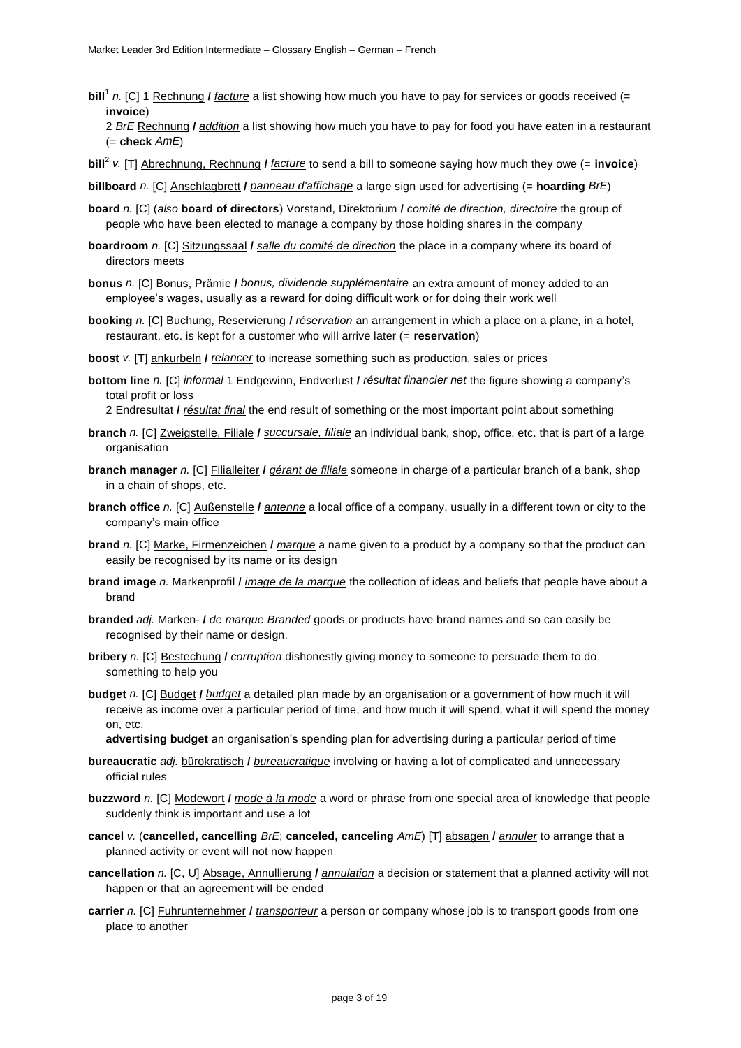**bill**<sup>1</sup> n. [C] 1 Rechnung *l facture* a list showing how much you have to pay for services or goods received (= **invoice**)

2 *BrE* Rechnung **/** *addition* a list showing how much you have to pay for food you have eaten in a restaurant (= **check** *AmE*)

- **bill**<sup>2</sup> *v.* [T] Abrechnung, Rechnung **/** *facture* to send a bill to someone saying how much they owe (= **invoice**)
- **billboard** *n.* [C] Anschlagbrett **/** *panneau d'affichage* a large sign used for advertising (= **hoarding** *BrE*)
- **board** *n.* [C] (*also* **board of directors**) Vorstand, Direktorium **/** *comité de direction, directoire* the group of people who have been elected to manage a company by those holding shares in the company
- **boardroom** *n.* [C] Sitzungssaal **/** *salle du comité de direction* the place in a company where its board of directors meets
- **bonus** *n.* [C] Bonus, Prämie **/** *bonus, dividende supplémentaire* an extra amount of money added to an employee's wages, usually as a reward for doing difficult work or for doing their work well
- **booking** *n.* [C] Buchung, Reservierung **/** *réservation* an arrangement in which a place on a plane, in a hotel, restaurant, etc. is kept for a customer who will arrive later (= **reservation**)
- **boost** *v.* [T] ankurbeln **/** *relancer* to increase something such as production, sales or prices
- **bottom line** *n.* [C] *informal* 1 Endgewinn, Endverlust **/** *résultat financier net* the figure showing a company's total profit or loss

2 Endresultat **/** *résultat final* the end result of something or the most important point about something

- **branch** *n.* [C] Zweigstelle, Filiale **/** *succursale, filiale* an individual bank, shop, office, etc. that is part of a large organisation
- **branch manager** *n.* [C] Filialleiter **/** *gérant de filiale* someone in charge of a particular branch of a bank, shop in a chain of shops, etc.
- **branch office** *n.* [C] Außenstelle **/** *antenne* a local office of a company, usually in a different town or city to the company's main office
- **brand** *n.* [C] Marke, Firmenzeichen **/** *marque* a name given to a product by a company so that the product can easily be recognised by its name or its design
- **brand image** *n.* Markenprofil **/** *image de la marque* the collection of ideas and beliefs that people have about a brand
- **branded** *adj.* Marken- **/** *de marque Branded* goods or products have brand names and so can easily be recognised by their name or design.
- **bribery** *n.* [C] Bestechung **/** *corruption* dishonestly giving money to someone to persuade them to do something to help you
- **budget** *n.* [C] Budget **/** *budget* a detailed plan made by an organisation or a government of how much it will receive as income over a particular period of time, and how much it will spend, what it will spend the money on, etc.

**advertising budget** an organisation's spending plan for advertising during a particular period of time

- **bureaucratic** *adj.* bürokratisch **/** *bureaucratique* involving or having a lot of complicated and unnecessary official rules
- **buzzword** *n.* [C] Modewort **/** *mode à la mode* a word or phrase from one special area of knowledge that people suddenly think is important and use a lot
- **cancel** *v.* (**cancelled, cancelling** *BrE*; **canceled, canceling** *AmE*) [T] absagen **/** *annuler* to arrange that a planned activity or event will not now happen
- **cancellation** *n.* [C, U] Absage, Annullierung **/** *annulation* a decision or statement that a planned activity will not happen or that an agreement will be ended
- **carrier** *n.* [C] Fuhrunternehmer **/** *transporteur* a person or company whose job is to transport goods from one place to another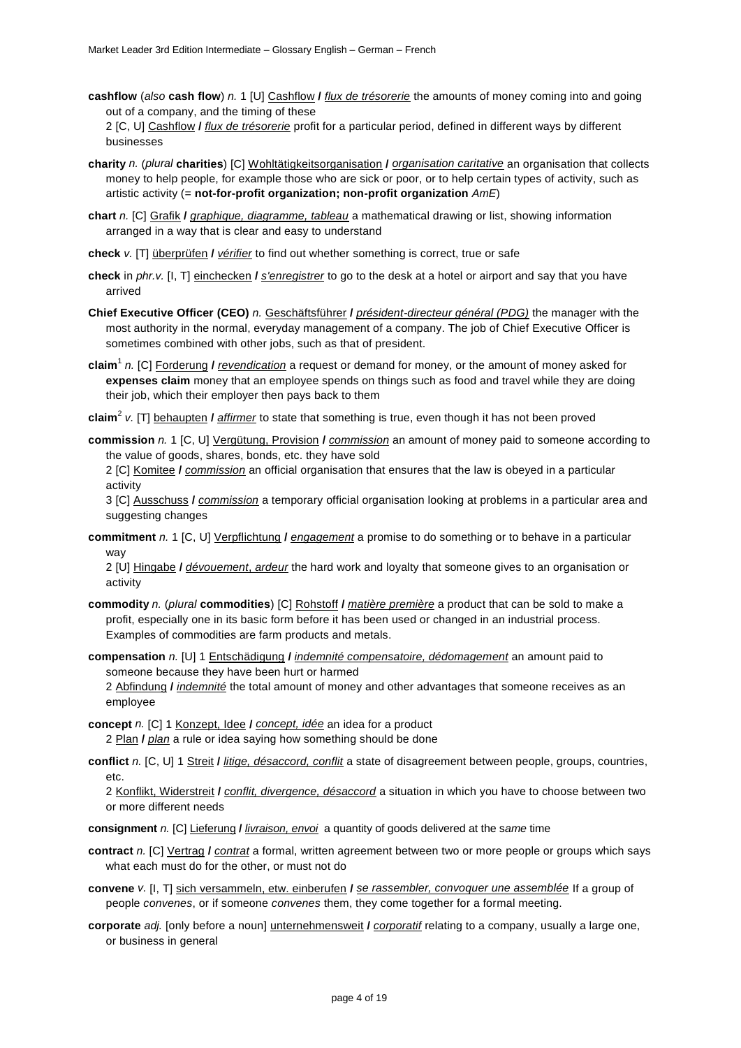**cashflow** (*also* **cash flow**) *n.* 1 [U] Cashflow **/** *flux de trésorerie* the amounts of money coming into and going out of a company, and the timing of these 2 [C, U] Cashflow **/** *flux de trésorerie* profit for a particular period, defined in different ways by different

```
businesses
```
- **charity** *n.* (*plural* **charities**) [C] Wohltätigkeitsorganisation **/** *organisation caritative* an organisation that collects money to help people, for example those who are sick or poor, or to help certain types of activity, such as artistic activity (= **not-for-profit organization; non-profit organization** *AmE*)
- **chart** *n.* [C] Grafik **/** *graphique, diagramme, tableau* a mathematical drawing or list, showing information arranged in a way that is clear and easy to understand
- **check** *v.* [T] überprüfen **/** *vérifier* to find out whether something is correct, true or safe
- **check** in *phr.v.* [I, T] einchecken **/** *s'enregistrer* to go to the desk at a hotel or airport and say that you have arrived
- **Chief Executive Officer (CEO)** *n.* Geschäftsführer **/** *président-directeur général (PDG)* the manager with the most authority in the normal, everyday management of a company. The job of Chief Executive Officer is sometimes combined with other jobs, such as that of president.
- **claim**<sup>1</sup> *n.* [C] Forderung **/** *revendication* a request or demand for money, or the amount of money asked for **expenses claim** money that an employee spends on things such as food and travel while they are doing their job, which their employer then pays back to them
- **claim**<sup>2</sup> *v.* [T] behaupten **/** *affirmer* to state that something is true, even though it has not been proved
- **commission** *n.* 1 [C, U] Vergütung, Provision **/** *commission* an amount of money paid to someone according to the value of goods, shares, bonds, etc. they have sold
	- 2 [C] Komitee **/** *commission* an official organisation that ensures that the law is obeyed in a particular activity

3 [C] Ausschuss **/** *commission* a temporary official organisation looking at problems in a particular area and suggesting changes

**commitment** *n.* 1 [C, U] Verpflichtung **/** *engagement* a promise to do something or to behave in a particular way

2 [U] Hingabe **/** *dévouement*, *ardeur* the hard work and loyalty that someone gives to an organisation or activity

- **commodity** *n.* (*plural* **commodities**) [C] Rohstoff **/** *matière première* a product that can be sold to make a profit, especially one in its basic form before it has been used or changed in an industrial process. Examples of commodities are farm products and metals.
- **compensation** *n.* [U] 1 Entschädigung **/** *indemnité compensatoire, dédomagement* an amount paid to someone because they have been hurt or harmed

2 Abfindung **/** *indemnité* the total amount of money and other advantages that someone receives as an employee

- **concept** *n.* [C] 1 Konzept, Idee **/** *concept, idée* an idea for a product 2 Plan **/** *plan* a rule or idea saying how something should be done
- **conflict** *n.* [C, U] 1 Streit **/** *litige, désaccord, conflit* a state of disagreement between people, groups, countries, etc.

2 Konflikt, Widerstreit **/** *conflit, divergence, désaccord* a situation in which you have to choose between two or more different needs

- **consignment** *n.* [C] Lieferung **/** *livraison, envoi* a quantity of goods delivered at the s*ame* time
- **contract** *n.* [C] Vertrag **/** *contrat* a formal, written agreement between two or more people or groups which says what each must do for the other, or must not do
- **convene** *v.* [I, T] sich versammeln, etw. einberufen **/** *se rassembler, convoquer une assemblée* If a group of people *convenes*, or if someone *convenes* them, they come together for a formal meeting.
- **corporate** *adj.* [only before a noun] unternehmensweit **/** *corporatif* relating to a company, usually a large one, or business in general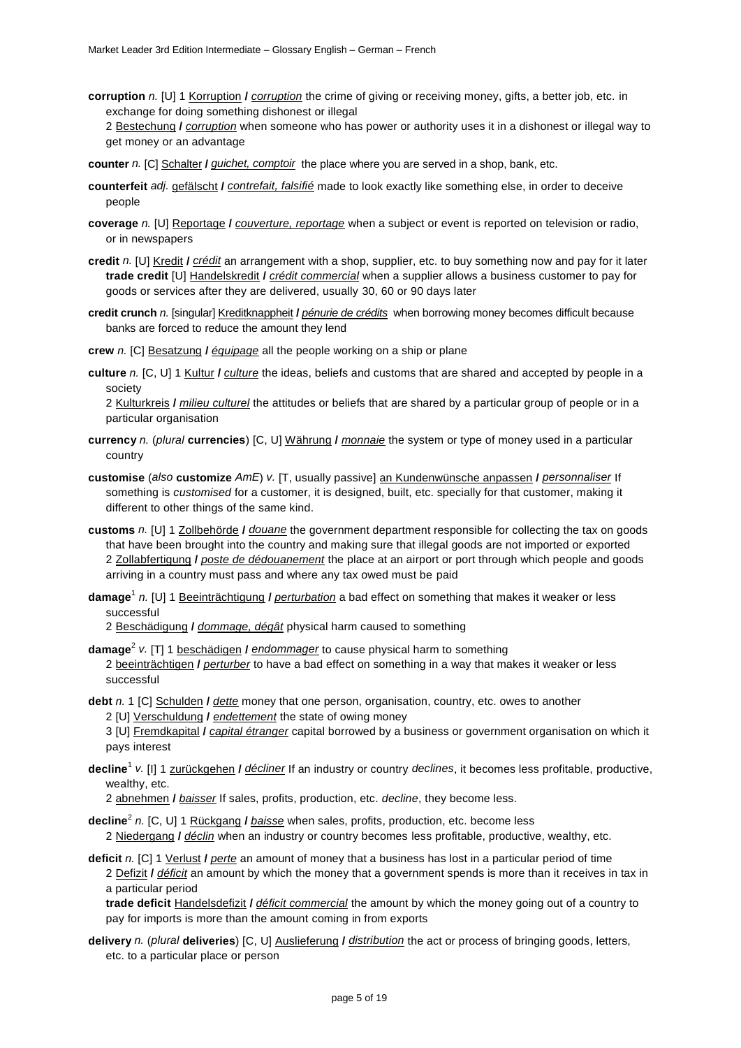- **corruption** *n.* [U] 1 Korruption **/** *corruption* the crime of giving or receiving money, gifts, a better job, etc. in exchange for doing something dishonest or illegal
	- 2 Bestechung **/** *corruption* when someone who has power or authority uses it in a dishonest or illegal way to get money or an advantage
- **counter** *n.* [C] Schalter **/** *guichet, comptoir* the place where you are served in a shop, bank, etc.
- **counterfeit** *adj.* gefälscht **/** *contrefait, falsifié* made to look exactly like something else, in order to deceive people
- **coverage** *n.* [U] Reportage **/** *couverture, reportage* when a subject or event is reported on television or radio, or in newspapers

**credit** *n.* [U] Kredit **/** *crédit* an arrangement with a shop, supplier, etc. to buy something now and pay for it later **trade credit** [U] Handelskredit **/** *crédit commercial* when a supplier allows a business customer to pay for goods or services after they are delivered, usually 30, 60 or 90 days later

- **credit crunch** *n.* [singular] Kreditknappheit **/** *pénurie de crédits* when borrowing money becomes difficult because banks are forced to reduce the amount they lend
- **crew** *n.* [C] Besatzung **/** *équipage* all the people working on a ship or plane
- **culture** *n.* [C, U] 1 Kultur **/** *culture* the ideas, beliefs and customs that are shared and accepted by people in a society

2 Kulturkreis **/** *milieu culturel* the attitudes or beliefs that are shared by a particular group of people or in a particular organisation

- **currency** *n.* (*plural* **currencies**) [C, U] Währung **/** *monnaie* the system or type of money used in a particular country
- **customise** (*also* **customize** *AmE*) *v.* [T, usually passive] an Kundenwünsche anpassen **/** *personnaliser* If something is *customised* for a customer, it is designed, built, etc. specially for that customer, making it different to other things of the same kind.
- **customs** *n.* [U] 1 Zollbehörde **/** *douane* the government department responsible for collecting the tax on goods that have been brought into the country and making sure that illegal goods are not imported or exported 2 Zollabfertigung **/** *poste de dédouanement* the place at an airport or port through which people and goods arriving in a country must pass and where any tax owed must be paid
- **damage**<sup>1</sup> *n.* [U] 1 Beeinträchtigung **/** *perturbation* a bad effect on something that makes it weaker or less successful
	- 2 Beschädigung **/** *dommage, dégât* physical harm caused to something
- **damage**<sup>2</sup> *v.* [T] 1 beschädigen **/** *endommager* to cause physical harm to something 2 beeinträchtigen **/** *perturber* to have a bad effect on something in a way that makes it weaker or less successful
- **debt** *n.* 1 [C] Schulden **/** *dette* money that one person, organisation, country, etc. owes to another
	- 2 [U] Verschuldung **/** *endettement* the state of owing money
	- 3 [U] Fremdkapital **/** *capital étranger* capital borrowed by a business or government organisation on which it pays interest
- **decline**<sup>1</sup> *v.* [I] 1 zurückgehen **/** *décliner* If an industry or country *declines*, it becomes less profitable, productive, wealthy, etc.
	- 2 abnehmen **/** *baisser* If sales, profits, production, etc. *decline*, they become less.
- **decline**<sup>2</sup> *n.* [C, U] 1 Rückgang **/** *baisse* when sales, profits, production, etc. become less 2 Niedergang **/** *déclin* when an industry or country becomes less profitable, productive, wealthy, etc.
- **deficit** *n.* [C] 1 Verlust **/** *perte* an amount of money that a business has lost in a particular period of time

2 Defizit **/** *déficit* an amount by which the money that a government spends is more than it receives in tax in a particular period

**trade deficit** Handelsdefizit **/** *déficit commercial* the amount by which the money going out of a country to pay for imports is more than the amount coming in from exports

**delivery** *n.* (*plural* **deliveries**) [C, U] Auslieferung **/** *distribution* the act or process of bringing goods, letters, etc. to a particular place or person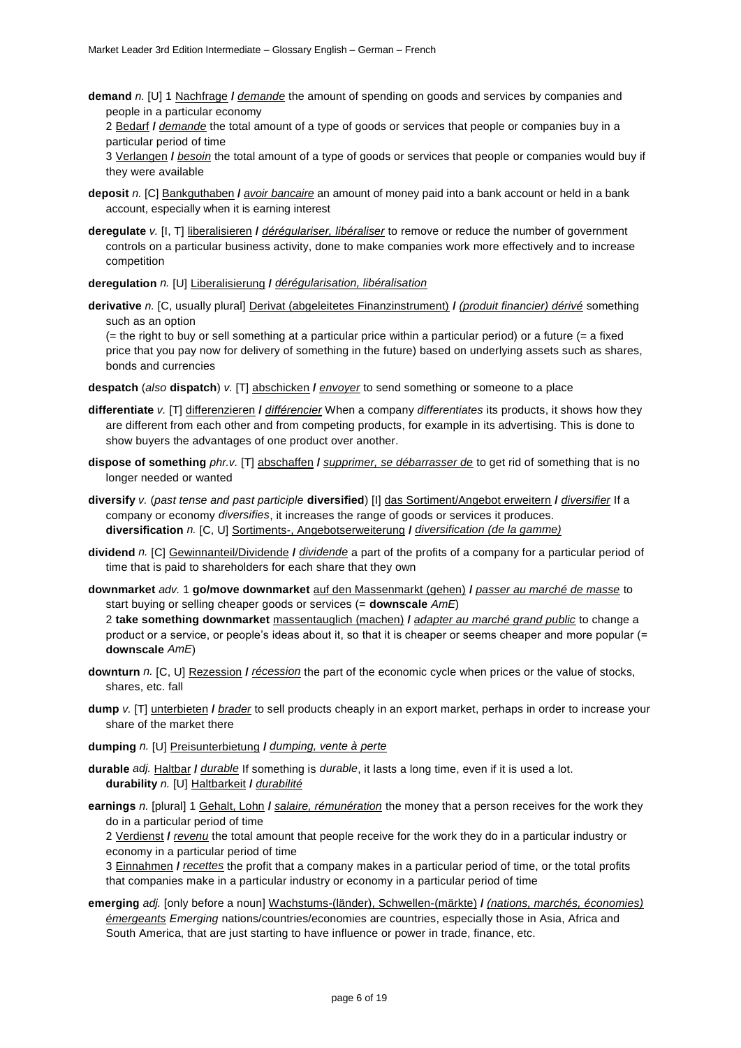**demand** *n.* [U] 1 Nachfrage **/** *demande* the amount of spending on goods and services by companies and people in a particular economy

2 Bedarf **/** *demande* the total amount of a type of goods or services that people or companies buy in a particular period of time

3 Verlangen **/** *besoin* the total amount of a type of goods or services that people or companies would buy if they were available

- **deposit** *n.* [C] Bankguthaben **/** *avoir bancaire* an amount of money paid into a bank account or held in a bank account, especially when it is earning interest
- **deregulate** *v.* [I, T] liberalisieren **/** *dérégulariser, libéraliser* to remove or reduce the number of government controls on a particular business activity, done to make companies work more effectively and to increase competition
- **deregulation** *n.* [U] Liberalisierung **/** *dérégularisation, libéralisation*
- **derivative** *n.* [C, usually plural] Derivat (abgeleitetes Finanzinstrument) **/** *(produit financier) dérivé* something such as an option

(= the right to buy or sell something at a particular price within a particular period) or a future (= a fixed price that you pay now for delivery of something in the future) based on underlying assets such as shares, bonds and currencies

- **despatch** (*also* **dispatch**) *v.* [T] abschicken **/** *envoyer* to send something or someone to a place
- **differentiate** *v.* [T] differenzieren **/** *différencier* When a company *differentiates* its products, it shows how they are different from each other and from competing products, for example in its advertising. This is done to show buyers the advantages of one product over another.
- **dispose of something** *phr.v.* [T] abschaffen **/** *supprimer, se débarrasser de* to get rid of something that is no longer needed or wanted
- **diversify** *v.* (*past tense and past participle* **diversified**) [I] das Sortiment/Angebot erweitern **/** *diversifier* If a company or economy *diversifies*, it increases the range of goods or services it produces. **diversification** *n.* [C, U] Sortiments-, Angebotserweiterung **/** *diversification (de la gamme)*
- **dividend** *n.* [C] Gewinnanteil/Dividende **/** *dividende* a part of the profits of a company for a particular period of time that is paid to shareholders for each share that they own
- **downmarket** *adv.* 1 **go/move downmarket** auf den Massenmarkt (gehen) **/** *passer au marché de masse* to start buying or selling cheaper goods or services (= **downscale** *AmE*)

2 **take something downmarket** massentauglich (machen) **/** *adapter au marché grand public* to change a product or a service, or people's ideas about it, so that it is cheaper or seems cheaper and more popular (= **downscale** *AmE*)

- **downturn** *n.* [C, U] Rezession **/** *récession* the part of the economic cycle when prices or the value of stocks, shares, etc. fall
- **dump** *v.* [T] unterbieten **/** *brader* to sell products cheaply in an export market, perhaps in order to increase your share of the market there
- **dumping** *n.* [U] Preisunterbietung **/** *dumping, vente à perte*
- **durable** *adj.* Haltbar **/** *durable* If something is *durable*, it lasts a long time, even if it is used a lot. **durability** *n.* [U] Haltbarkeit **/** *durabilité*
- **earnings** *n.* [plural] 1 Gehalt, Lohn **/** *salaire, rémunération* the money that a person receives for the work they do in a particular period of time

2 Verdienst **/** *revenu* the total amount that people receive for the work they do in a particular industry or economy in a particular period of time

3 Einnahmen **/** *recettes* the profit that a company makes in a particular period of time, or the total profits that companies make in a particular industry or economy in a particular period of time

**emerging** *adj.* [only before a noun] Wachstums-(länder), Schwellen-(märkte) **/** *(nations, marchés, économies) émergeants Emerging* nations/countries/economies are countries, especially those in Asia, Africa and South America, that are just starting to have influence or power in trade, finance, etc.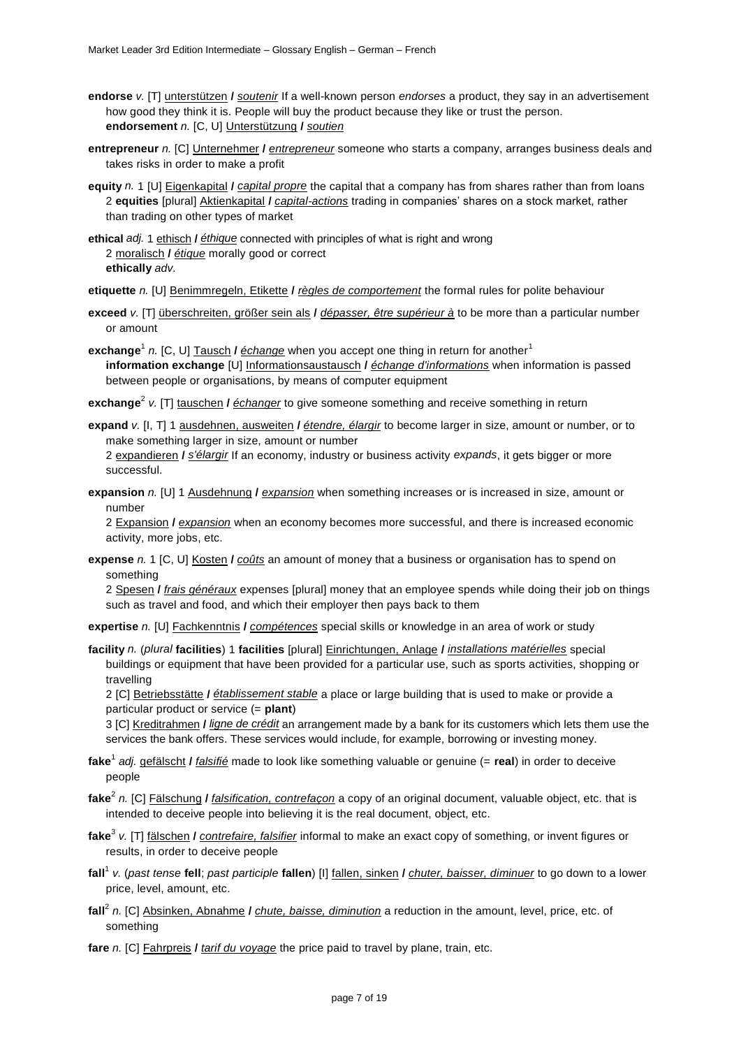- **endorse** *v.* [T] unterstützen **/** *soutenir* If a well-known person *endorses* a product, they say in an advertisement how good they think it is. People will buy the product because they like or trust the person. **endorsement** *n.* [C, U] Unterstützung **/** *soutien*
- **entrepreneur** *n.* [C] Unternehmer **/** *entrepreneur* someone who starts a company, arranges business deals and takes risks in order to make a profit
- **equity** *n.* 1 [U] Eigenkapital **/** *capital propre* the capital that a company has from shares rather than from loans 2 **equities** [plural] Aktienkapital **/** *capital-actions* trading in companies' shares on a stock market, rather than trading on other types of market
- **ethical** *adj.* 1 ethisch **/** *éthique* connected with principles of what is right and wrong 2 moralisch **/** *étique* morally good or correct **ethically** *adv.*

**etiquette** *n.* [U] Benimmregeln, Etikette **/** *règles de comportement* the formal rules for polite behaviour

- **exceed** *v.* [T] überschreiten, größer sein als **/** *dépasser, être supérieur à* to be more than a particular number or amount
- **exchange**<sup>1</sup> n. [C, U] <u>Tausch</u> / <u>échange</u> when you accept one thing in return for another<sup>1</sup> **information exchange** [U] Informationsaustausch **/** *échange d'informations* when information is passed between people or organisations, by means of computer equipment
- **exchange**<sup>2</sup> *v.* [T] tauschen **/** *échanger* to give someone something and receive something in return
- **expand** *v.* [I, T] 1 ausdehnen, ausweiten **/** *étendre, élargir* to become larger in size, amount or number, or to make something larger in size, amount or number 2 expandieren **/** *s'élargir* If an economy, industry or business activity *expands*, it gets bigger or more successful.
- **expansion** *n.* [U] 1 Ausdehnung **/** *expansion* when something increases or is increased in size, amount or number

2 Expansion **/** *expansion* when an economy becomes more successful, and there is increased economic activity, more jobs, etc.

**expense** *n.* 1 [C, U] Kosten **/** *coûts* an amount of money that a business or organisation has to spend on something

2 Spesen **/** *frais généraux* expenses [plural] money that an employee spends while doing their job on things such as travel and food, and which their employer then pays back to them

**expertise** *n.* [U] Fachkenntnis **/** *compétences* special skills or knowledge in an area of work or study

**facility** *n.* (*plural* **facilities**) 1 **facilities** [plural] Einrichtungen, Anlage **/** *installations matérielles* special buildings or equipment that have been provided for a particular use, such as sports activities, shopping or travelling

2 [C] Betriebsstätte **/** *établissement stable* a place or large building that is used to make or provide a particular product or service (= **plant**)

3 [C] Kreditrahmen **/** *ligne de crédit* an arrangement made by a bank for its customers which lets them use the services the bank offers. These services would include, for example, borrowing or investing money.

- **fake**<sup>1</sup> *adj.* gefälscht **/** *falsifié* made to look like something valuable or genuine (= **real**) in order to deceive people
- **fake**<sup>2</sup> *n.* [C] Fälschung **/** *falsification, contrefaçon* a copy of an original document, valuable object, etc. that is intended to deceive people into believing it is the real document, object, etc.
- **fake**<sup>3</sup> *v.* [T] fälschen **/** *contrefaire, falsifier* informal to make an exact copy of something, or invent figures or results, in order to deceive people
- **fall**<sup>1</sup> *v.* (*past tense* **fell**; *past participle* **fallen**) [I] fallen, sinken **/** *chuter, baisser, diminuer* to go down to a lower price, level, amount, etc.
- **fall**<sup>2</sup> *n.* [C] Absinken, Abnahme **/** *chute, baisse, diminution* a reduction in the amount, level, price, etc. of something
- **fare** *n.* [C] Fahrpreis **/** *tarif du voyage* the price paid to travel by plane, train, etc.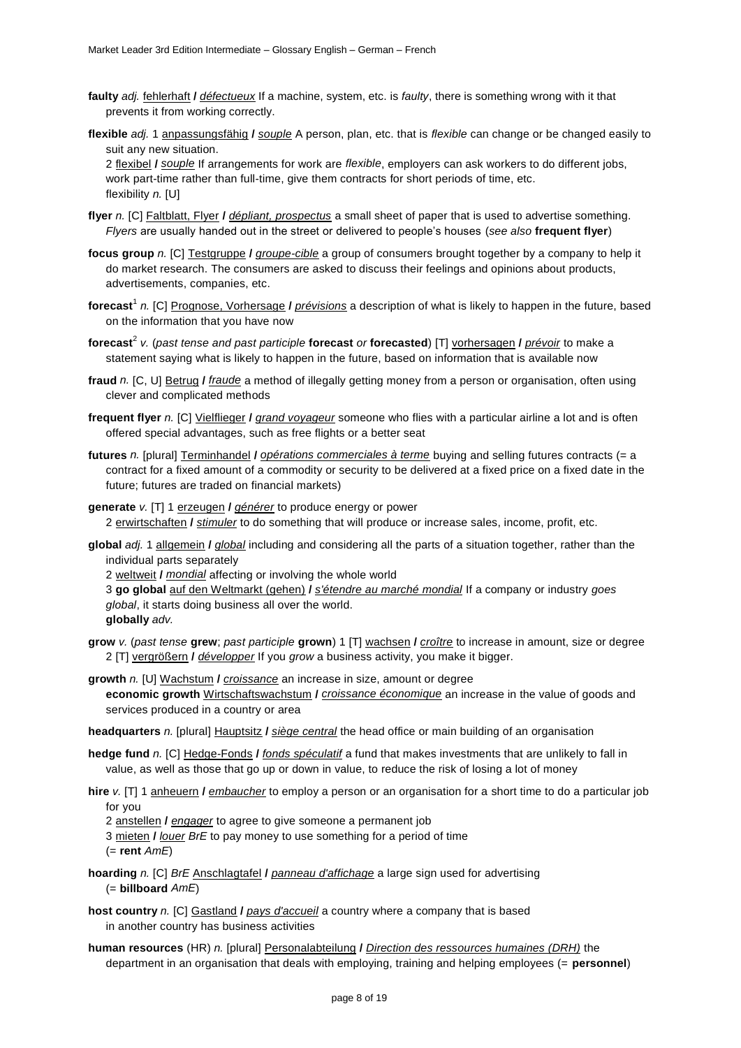- **faulty** *adj.* fehlerhaft **/** *défectueux* If a machine, system, etc. is *faulty*, there is something wrong with it that prevents it from working correctly.
- **flexible** *adj.* 1 anpassungsfähig **/** *souple* A person, plan, etc. that is *flexible* can change or be changed easily to suit any new situation.

2 flexibel **/** *souple* If arrangements for work are *flexible*, employers can ask workers to do different jobs, work part-time rather than full-time, give them contracts for short periods of time, etc. flexibility *n.* [U]

- **flyer** *n.* [C] Faltblatt, Flyer **/** *dépliant, prospectus* a small sheet of paper that is used to advertise something. *Flyers* are usually handed out in the street or delivered to people's houses (*see also* **frequent flyer**)
- **focus group** *n.* [C] Testgruppe **/** *groupe-cible* a group of consumers brought together by a company to help it do market research. The consumers are asked to discuss their feelings and opinions about products, advertisements, companies, etc.
- **forecast**<sup>1</sup> *n.* [C] Prognose, Vorhersage **/** *prévisions* a description of what is likely to happen in the future, based on the information that you have now
- **forecast**<sup>2</sup> *v.* (*past tense and past participle* **forecast** *or* **forecasted**) [T] vorhersagen **/** *prévoir* to make a statement saying what is likely to happen in the future, based on information that is available now
- **fraud** *n.* [C, U] Betrug **/** *fraude* a method of illegally getting money from a person or organisation, often using clever and complicated methods
- **frequent flyer** *n.* [C] Vielflieger **/** *grand voyageur* someone who flies with a particular airline a lot and is often offered special advantages, such as free flights or a better seat
- **futures** *n.* [plural] Terminhandel **/** *opérations commerciales à terme* buying and selling futures contracts (= a contract for a fixed amount of a commodity or security to be delivered at a fixed price on a fixed date in the future; futures are traded on financial markets)
- **generate** *v.* [T] 1 erzeugen **/** *générer* to produce energy or power 2 erwirtschaften **/** *stimuler* to do something that will produce or increase sales, income, profit, etc.
- **global** *adj.* 1 allgemein **/** *global* including and considering all the parts of a situation together, rather than the individual parts separately
	- 2 weltweit **/** *mondial* affecting or involving the whole world
	- 3 **go global** auf den Weltmarkt (gehen) **/** *s'étendre au marché mondial* If a company or industry *goes global*, it starts doing business all over the world.
	- **globally** *adv.*
- **grow** *v.* (*past tense* **grew**; *past participle* **grown**) 1 [T] wachsen **/** *croître* to increase in amount, size or degree 2 [T] vergrößern **/** *développer* If you *grow* a business activity, you make it bigger.
- **growth** *n.* [U] Wachstum **/** *croissance* an increase in size, amount or degree **economic growth** Wirtschaftswachstum **/** *croissance économique* an increase in the value of goods and services produced in a country or area
- **headquarters** *n.* [plural] Hauptsitz **/** *siège central* the head office or main building of an organisation
- **hedge fund** *n.* [C] Hedge-Fonds **/** *fonds spéculatif* a fund that makes investments that are unlikely to fall in value, as well as those that go up or down in value, to reduce the risk of losing a lot of money
- **hire** *v.* [T] 1 anheuern **/** *embaucher* to employ a person or an organisation for a short time to do a particular job for you
	- 2 anstellen **/** *engager* to agree to give someone a permanent job
	- 3 mieten **/** *louer BrE* to pay money to use something for a period of time (= **rent** *AmE*)
- **hoarding** *n.* [C] *BrE* Anschlagtafel **/** *panneau d'affichage* a large sign used for advertising (= **billboard** *AmE*)
- **host country** *n.* [C] Gastland **/** *pays d'accueil* a country where a company that is based in another country has business activities
- **human resources** (HR) *n.* [plural] Personalabteilung **/** *Direction des ressources humaines (DRH)* the department in an organisation that deals with employing, training and helping employees (= **personnel**)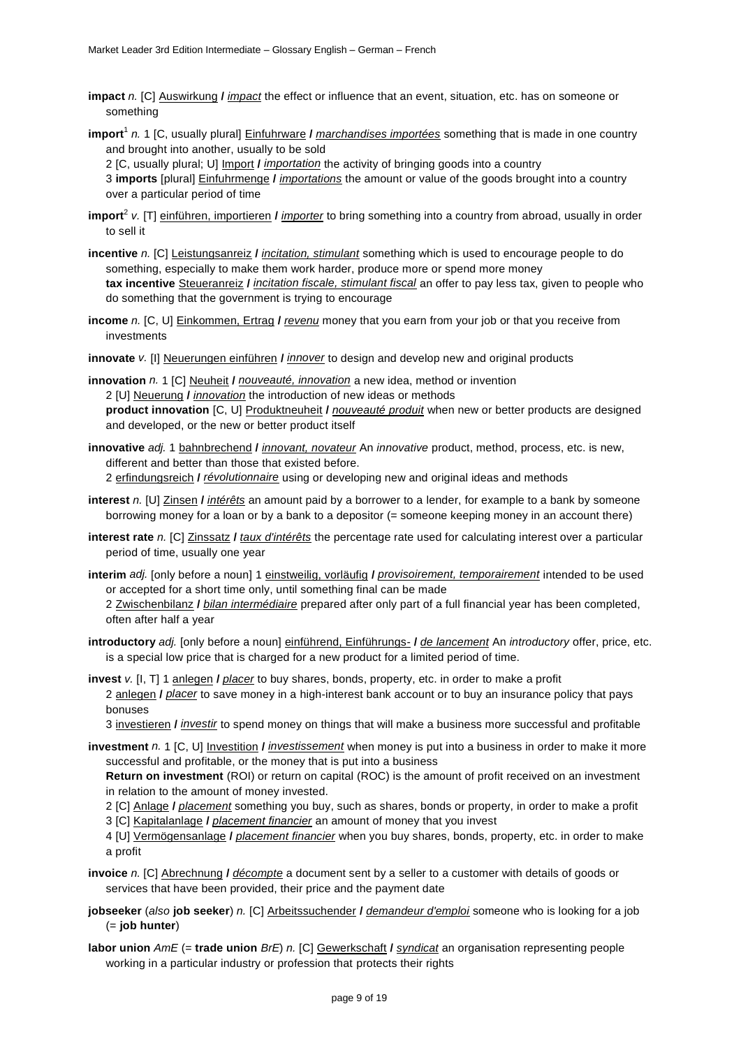- **impact** *n.* [C] Auswirkung **/** *impact* the effect or influence that an event, situation, etc. has on someone or something
- **import**<sup>1</sup> *n.* 1 [C, usually plural] Einfuhrware **/** *marchandises importées* something that is made in one country and brought into another, usually to be sold

2 [C, usually plural; U] Import **/** *importation* the activity of bringing goods into a country 3 **imports** [plural] Einfuhrmenge **/** *importations* the amount or value of the goods brought into a country over a particular period of time

- **import**<sup>2</sup> *v.* [T] einführen, importieren **/** *importer* to bring something into a country from abroad, usually in order to sell it
- **incentive** *n.* [C] Leistungsanreiz **/** *incitation, stimulant* something which is used to encourage people to do something, especially to make them work harder, produce more or spend more money **tax incentive** Steueranreiz **/** *incitation fiscale, stimulant fiscal* an offer to pay less tax, given to people who do something that the government is trying to encourage
- **income** *n.* [C, U] Einkommen, Ertrag **/** *revenu* money that you earn from your job or that you receive from investments
- **innovate** *v.* [I] Neuerungen einführen **/** *innover* to design and develop new and original products
- **innovation** *n.* 1 [C] Neuheit **/** *nouveauté, innovation* a new idea, method or invention 2 [U] Neuerung **/** *innovation* the introduction of new ideas or methods **product innovation** [C, U] Produktneuheit **/** *nouveauté produit* when new or better products are designed and developed, or the new or better product itself
- **innovative** *adj.* 1 bahnbrechend **/** *innovant, novateur* An *innovative* product, method, process, etc. is new, different and better than those that existed before.

2 erfindungsreich **/** *révolutionnaire* using or developing new and original ideas and methods

- **interest** *n.* [U] Zinsen **/** *intérêts* an amount paid by a borrower to a lender, for example to a bank by someone borrowing money for a loan or by a bank to a depositor (= someone keeping money in an account there)
- **interest rate** *n.* [C] Zinssatz **/** *taux d'intérêts* the percentage rate used for calculating interest over a particular period of time, usually one year
- **interim** *adj.* [only before a noun] 1 einstweilig, vorläufig **/** *provisoirement, temporairement* intended to be used or accepted for a short time only, until something final can be made
	- 2 Zwischenbilanz **/** *bilan intermédiaire* prepared after only part of a full financial year has been completed, often after half a year
- **introductory** *adj.* [only before a noun] einführend, Einführungs- **/** *de lancement* An *introductory* offer, price, etc. is a special low price that is charged for a new product for a limited period of time.
- **invest** *v.* [I, T] 1 anlegen **/** *placer* to buy shares, bonds, property, etc. in order to make a profit 2 anlegen **/** *placer* to save money in a high-interest bank account or to buy an insurance policy that pays bonuses

3 investieren **/** *investir* to spend money on things that will make a business more successful and profitable

**investment** *n.* 1 [C, U] Investition **/** *investissement* when money is put into a business in order to make it more successful and profitable, or the money that is put into a business

**Return on investment** (ROI) or return on capital (ROC) is the amount of profit received on an investment in relation to the amount of money invested.

- 2 [C] Anlage **/** *placement* something you buy, such as shares, bonds or property, in order to make a profit
- 3 [C] Kapitalanlage **/** *placement financier* an amount of money that you invest

4 [U] Vermögensanlage **/** *placement financier* when you buy shares, bonds, property, etc. in order to make a profit

- **invoice** *n.* [C] Abrechnung **/** *décompte* a document sent by a seller to a customer with details of goods or services that have been provided, their price and the payment date
- **jobseeker** (*also* **job seeker**) *n.* [C] Arbeitssuchender **/** *demandeur d'emploi* someone who is looking for a job (= **job hunter**)
- **labor union** *AmE* (= **trade union** *BrE*) *n.* [C] Gewerkschaft **/** *syndicat* an organisation representing people working in a particular industry or profession that protects their rights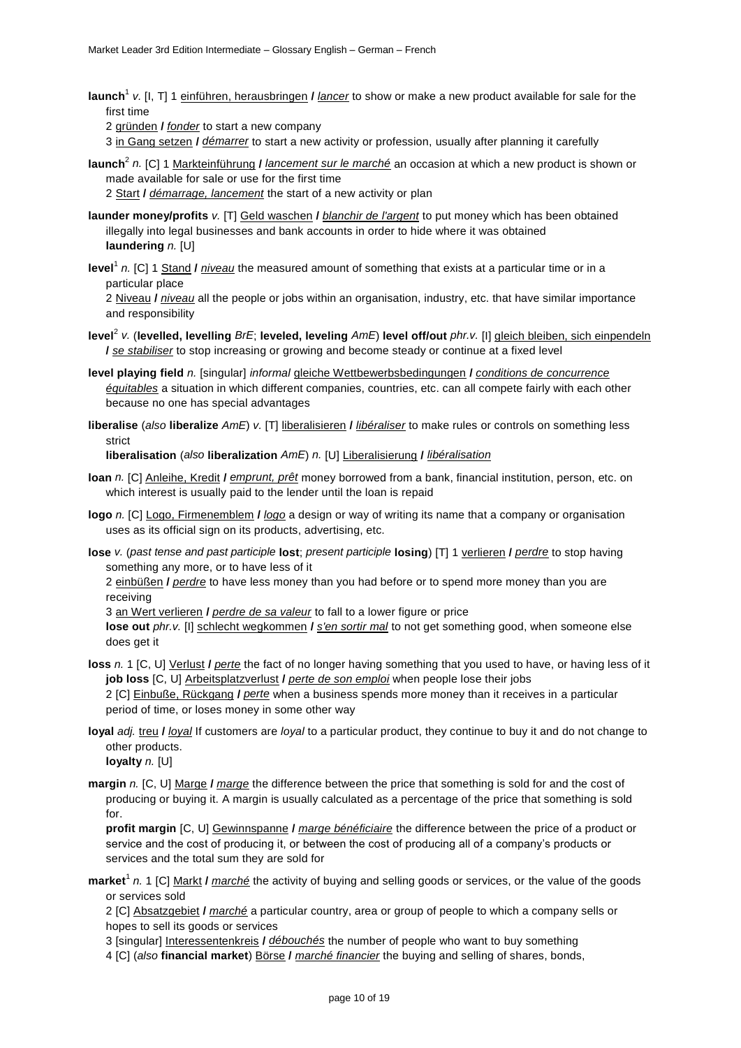**launch**<sup>1</sup> *v.* [I, T] 1 einführen, herausbringen **/** *lancer* to show or make a new product available for sale for the first time

2 gründen **/** *fonder* to start a new company

3 in Gang setzen **/** *démarrer* to start a new activity or profession, usually after planning it carefully

**launch**<sup>2</sup> *n.* [C] 1 Markteinführung **/** *lancement sur le marché* an occasion at which a new product is shown or made available for sale or use for the first time

2 Start **/** *démarrage, lancement* the start of a new activity or plan

- **launder money/profits** *v.* [T] Geld waschen **/** *blanchir de l'argent* to put money which has been obtained illegally into legal businesses and bank accounts in order to hide where it was obtained **laundering** *n.* [U]
- **level**<sup>1</sup> *n.* [C] 1 Stand **/** *niveau* the measured amount of something that exists at a particular time or in a particular place

2 Niveau **/** *niveau* all the people or jobs within an organisation, industry, etc. that have similar importance and responsibility

- **level**<sup>2</sup> *v.* (**levelled, levelling** *BrE*; **leveled, leveling** *AmE*) **level off/out** *phr.v.* [I] gleich bleiben, sich einpendeln **/** *se stabiliser* to stop increasing or growing and become steady or continue at a fixed level
- **level playing field** *n.* [singular] *informal* gleiche Wettbewerbsbedingungen **/** *conditions de concurrence équitables* a situation in which different companies, countries, etc. can all compete fairly with each other because no one has special advantages
- **liberalise** (*also* **liberalize** *AmE*) *v.* [T] liberalisieren **/** *libéraliser* to make rules or controls on something less strict

**liberalisation** (*also* **liberalization** *AmE*) *n.* [U] Liberalisierung **/** *libéralisation*

- **loan** *n.* [C] Anleihe, Kredit **/** *emprunt, prêt* money borrowed from a bank, financial institution, person, etc. on which interest is usually paid to the lender until the loan is repaid
- **logo** *n.* [C] Logo, Firmenemblem **/** *logo* a design or way of writing its name that a company or organisation uses as its official sign on its products, advertising, etc.
- **lose** *v.* (*past tense and past participle* **lost**; *present participle* **losing**) [T] 1 verlieren **/** *perdre* to stop having something any more, or to have less of it

2 einbüßen **/** *perdre* to have less money than you had before or to spend more money than you are receiving

3 an Wert verlieren **/** *perdre de sa valeur* to fall to a lower figure or price

**lose out** *phr.v.* [I] schlecht wegkommen **/** *s'en sortir mal* to not get something good, when someone else does get it

- **loss** *n.* 1 [C, U] Verlust **/** *perte* the fact of no longer having something that you used to have, or having less of it **job loss** [C, U] Arbeitsplatzverlust **/** *perte de son emploi* when people lose their jobs 2 [C] Einbuße, Rückgang **/** *perte* when a business spends more money than it receives in a particular period of time, or loses money in some other way
- **loyal** *adj.* treu **/** *loyal* If customers are *loyal* to a particular product, they continue to buy it and do not change to other products.

**loyalty** *n.* [U]

**margin** *n.* [C, U] Marge **/** *marge* the difference between the price that something is sold for and the cost of producing or buying it. A margin is usually calculated as a percentage of the price that something is sold for.

**profit margin** [C, U] Gewinnspanne **/** *marge bénéficiaire* the difference between the price of a product or service and the cost of producing it, or between the cost of producing all of a company's products or services and the total sum they are sold for

**market**<sup>1</sup> *n.* 1 [C] Markt **/** *marché* the activity of buying and selling goods or services, or the value of the goods or services sold

2 [C] Absatzgebiet **/** *marché* a particular country, area or group of people to which a company sells or hopes to sell its goods or services

3 [singular] Interessentenkreis **/** *débouchés* the number of people who want to buy something

4 [C] (*also* **financial market**) Börse **/** *marché financier* the buying and selling of shares, bonds,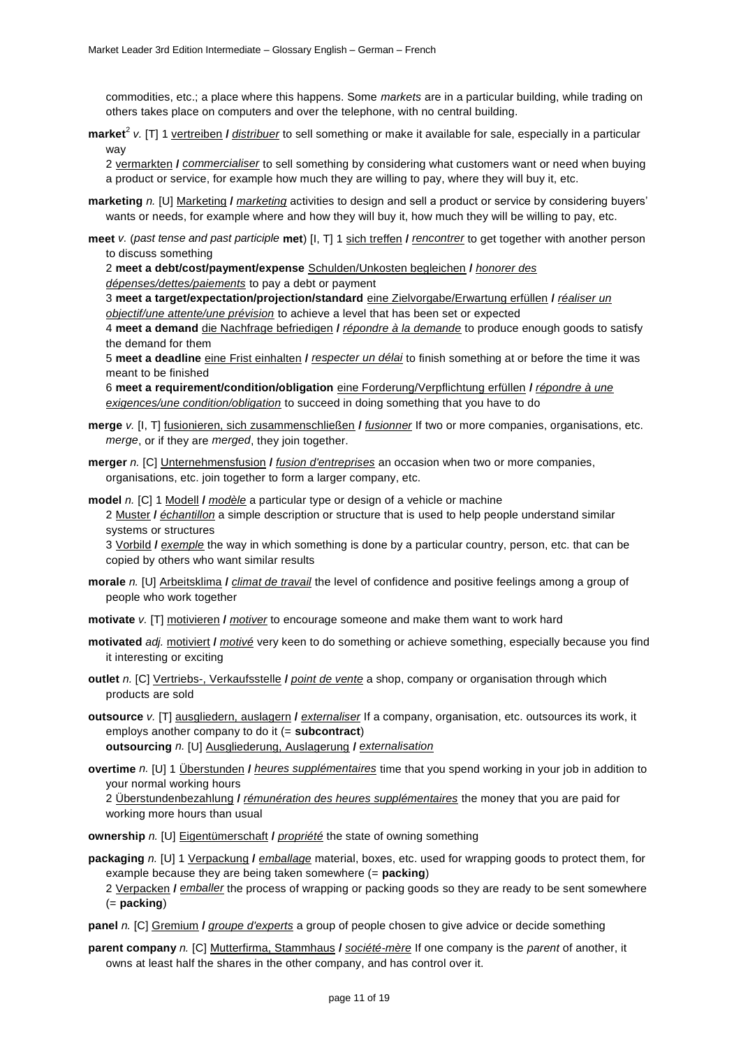commodities, etc.; a place where this happens. Some *markets* are in a particular building, while trading on others takes place on computers and over the telephone, with no central building.

**market**<sup>2</sup> *v.* [T] 1 vertreiben **/** *distribuer* to sell something or make it available for sale, especially in a particular way

2 vermarkten **/** *commercialiser* to sell something by considering what customers want or need when buying a product or service, for example how much they are willing to pay, where they will buy it, etc.

- **marketing** *n.* [U] Marketing **/** *marketing* activities to design and sell a product or service by considering buyers' wants or needs, for example where and how they will buy it, how much they will be willing to pay, etc.
- **meet** *v.* (*past tense and past participle* **met**) [I, T] 1 sich treffen **/** *rencontrer* to get together with another person to discuss something

2 **meet a debt/cost/payment/expense** Schulden/Unkosten begleichen **/** *honorer des* 

*dépenses/dettes/paiements* to pay a debt or payment

3 **meet a target/expectation/projection/standard** eine Zielvorgabe/Erwartung erfüllen **/** *réaliser un objectif/une attente/une prévision* to achieve a level that has been set or expected

4 **meet a demand** die Nachfrage befriedigen **/** *répondre à la demande* to produce enough goods to satisfy the demand for them

5 **meet a deadline** eine Frist einhalten **/** *respecter un délai* to finish something at or before the time it was meant to be finished

6 **meet a requirement/condition/obligation** eine Forderung/Verpflichtung erfüllen **/** *répondre à une exigences/une condition/obligation* to succeed in doing something that you have to do

- **merge** *v.* [I, T] fusionieren, sich zusammenschließen **/** *fusionner* If two or more companies, organisations, etc. *merge*, or if they are *merged*, they join together.
- **merger** *n.* [C] Unternehmensfusion **/** *fusion d'entreprises* an occasion when two or more companies, organisations, etc. join together to form a larger company, etc.

**model** *n.* [C] 1 Modell **/** *modèle* a particular type or design of a vehicle or machine 2 Muster **/** *échantillon* a simple description or structure that is used to help people understand similar systems or structures

3 Vorbild **/** *exemple* the way in which something is done by a particular country, person, etc. that can be copied by others who want similar results

- **morale** *n.* [U] Arbeitsklima **/** *climat de travail* the level of confidence and positive feelings among a group of people who work together
- **motivate** *v.* [T] motivieren **/** *motiver* to encourage someone and make them want to work hard
- **motivated** *adj.* motiviert **/** *motivé* very keen to do something or achieve something, especially because you find it interesting or exciting
- **outlet** *n.* [C] Vertriebs-, Verkaufsstelle **/** *point de vente* a shop, company or organisation through which products are sold
- **outsource** *v.* [T] ausgliedern, auslagern **/** *externaliser* If a company, organisation, etc. outsources its work, it employs another company to do it (= **subcontract**) **outsourcing** *n.* [U] Ausgliederung, Auslagerung **/** *externalisation*
- **overtime** *n.* [U] 1 Überstunden **/** *heures supplémentaires* time that you spend working in your job in addition to your normal working hours

2 Überstundenbezahlung **/** *rémunération des heures supplémentaires* the money that you are paid for working more hours than usual

**ownership** *n.* [U] Eigentümerschaft **/** *propriété* the state of owning something

**packaging** *n.* [U] 1 Verpackung **/** *emballage* material, boxes, etc. used for wrapping goods to protect them, for example because they are being taken somewhere (= **packing**)

2 Verpacken **/** *emballer* the process of wrapping or packing goods so they are ready to be sent somewhere (= **packing**)

**panel** *n.* [C] Gremium **/** *groupe d'experts* a group of people chosen to give advice or decide something

**parent company** *n.* [C] Mutterfirma, Stammhaus **/** *société-mère* If one company is the *parent* of another, it owns at least half the shares in the other company, and has control over it.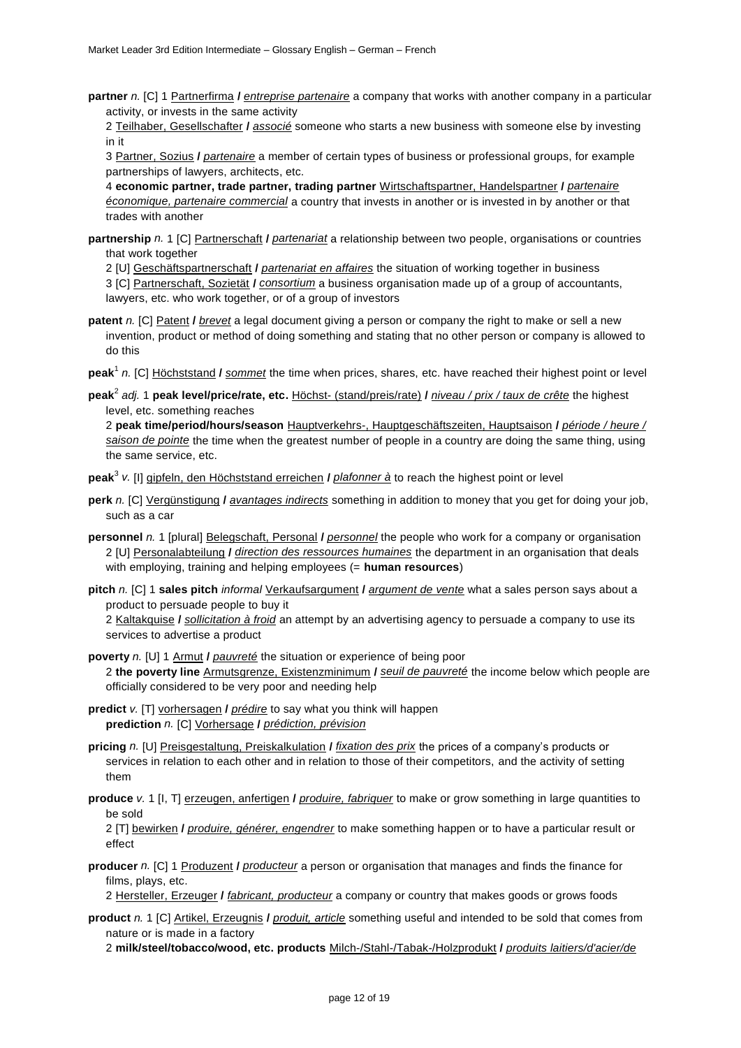**partner** *n.* [C] 1 Partnerfirma **/** *entreprise partenaire* a company that works with another company in a particular activity, or invests in the same activity

2 Teilhaber, Gesellschafter **/** *associé* someone who starts a new business with someone else by investing in it

3 Partner, Sozius **/** *partenaire* a member of certain types of business or professional groups, for example partnerships of lawyers, architects, etc.

4 **economic partner, trade partner, trading partner** Wirtschaftspartner, Handelspartner **/** *partenaire économique, partenaire commercial* a country that invests in another or is invested in by another or that trades with another

**partnership** *n.* 1 [C] Partnerschaft **/** *partenariat* a relationship between two people, organisations or countries that work together

2 [U] Geschäftspartnerschaft **/** *partenariat en affaires* the situation of working together in business

3 [C] Partnerschaft, Sozietät **/** *consortium* a business organisation made up of a group of accountants, lawyers, etc. who work together, or of a group of investors

**patent** *n.* [C] Patent **/** *brevet* a legal document giving a person or company the right to make or sell a new invention, product or method of doing something and stating that no other person or company is allowed to do this

**peak**<sup>1</sup> *n.* [C] Höchststand **/** *sommet* the time when prices, shares, etc. have reached their highest point or level

**peak**<sup>2</sup> *adj.* 1 **peak level/price/rate, etc.** Höchst- (stand/preis/rate) **/** *niveau / prix / taux de crête* the highest level, etc. something reaches

2 **peak time/period/hours/season** Hauptverkehrs-, Hauptgeschäftszeiten, Hauptsaison **/** *période / heure / saison de pointe* the time when the greatest number of people in a country are doing the same thing, using the same service, etc.

**peak**<sup>3</sup> *v.* [I] gipfeln, den Höchststand erreichen **/** *plafonner à* to reach the highest point or level

- **perk** *n.* [C] Vergünstigung **/** *avantages indirects* something in addition to money that you get for doing your job, such as a car
- **personnel** *n.* 1 [plural] Belegschaft, Personal **/** *personnel* the people who work for a company or organisation 2 [U] Personalabteilung **/** *direction des ressources humaines* the department in an organisation that deals with employing, training and helping employees (= **human resources**)
- **pitch** *n.* [C] 1 **sales pitch** *informal* Verkaufsargument **/** *argument de vente* what a sales person says about a product to persuade people to buy it

2 Kaltakquise **/** *sollicitation à froid* an attempt by an advertising agency to persuade a company to use its services to advertise a product

**poverty** *n.* [U] 1 Armut **/** *pauvreté* the situation or experience of being poor 2 **the poverty line** Armutsgrenze, Existenzminimum **/** *seuil de pauvreté* the income below which people are officially considered to be very poor and needing help

- **predict** *v.* [T] vorhersagen **/** *prédire* to say what you think will happen **prediction** *n.* [C] Vorhersage **/** *prédiction, prévision*
- **pricing** *n.* [U] Preisgestaltung, Preiskalkulation **/** *fixation des prix* the prices of a company's products or services in relation to each other and in relation to those of their competitors, and the activity of setting them
- **produce** *v.* 1 [I, T] erzeugen, anfertigen **/** *produire, fabriquer* to make or grow something in large quantities to be sold

2 [T] bewirken **/** *produire, générer, engendrer* to make something happen or to have a particular result or effect

**producer** *n.* [C] 1 Produzent **/** *producteur* a person or organisation that manages and finds the finance for films, plays, etc.

2 Hersteller, Erzeuger **/** *fabricant, producteur* a company or country that makes goods or grows foods

**product** *n.* 1 [C] Artikel, Erzeugnis **/** *produit, article* something useful and intended to be sold that comes from nature or is made in a factory

2 **milk/steel/tobacco/wood, etc. products** Milch-/Stahl-/Tabak-/Holzprodukt **/** *produits laitiers/d'acier/de*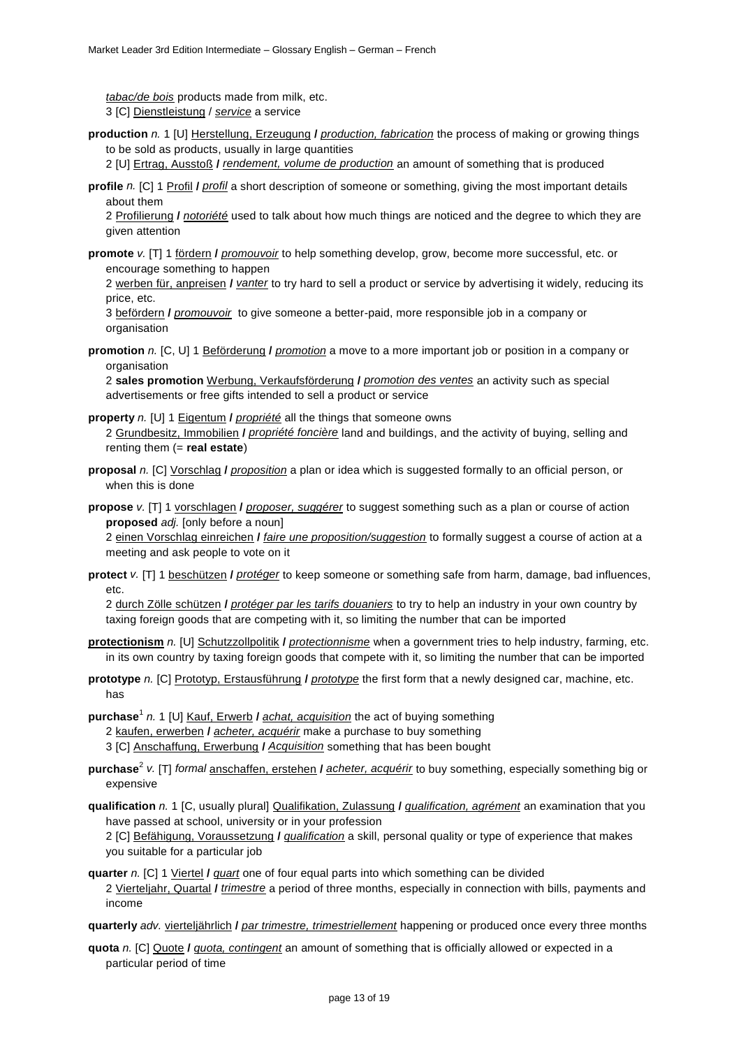*tabac/de bois* products made from milk, etc. 3 [C] Dienstleistung / *service* a service

**production** *n.* 1 [U] Herstellung, Erzeugung **/** *production, fabrication* the process of making or growing things to be sold as products, usually in large quantities

2 [U] Ertrag, Ausstoß **/** *rendement, volume de production* an amount of something that is produced

**profile** *n.* [C] 1 Profil **/** *profil* a short description of someone or something, giving the most important details about them

2 Profilierung **/** *notoriété* used to talk about how much things are noticed and the degree to which they are given attention

**promote** *v.* [T] 1 fördern **/** *promouvoir* to help something develop, grow, become more successful, etc. or encourage something to happen

2 werben für, anpreisen **/** *vanter* to try hard to sell a product or service by advertising it widely, reducing its price, etc.

3 befördern **/** *promouvoir*to give someone a better-paid, more responsible job in a company or organisation

**promotion** *n.* [C, U] 1 Beförderung **/** *promotion* a move to a more important job or position in a company or organisation

2 **sales promotion** Werbung, Verkaufsförderung **/** *promotion des ventes* an activity such as special advertisements or free gifts intended to sell a product or service

**property** *n.* [U] 1 Eigentum **/** *propriété* all the things that someone owns

2 Grundbesitz, Immobilien **/** *propriété foncière* land and buildings, and the activity of buying, selling and renting them (= **real estate**)

**proposal** *n.* [C] Vorschlag **/** *proposition* a plan or idea which is suggested formally to an official person, or when this is done

**propose** *v.* [T] 1 vorschlagen **/** *proposer, suggérer* to suggest something such as a plan or course of action **proposed** *adj.* [only before a noun]

2 einen Vorschlag einreichen **/** *faire une proposition/suggestion* to formally suggest a course of action at a meeting and ask people to vote on it

**protect** *v.* [T] 1 beschützen **/** *protéger* to keep someone or something safe from harm, damage, bad influences, etc.

2 durch Zölle schützen **/** *protéger par les tarifs douaniers* to try to help an industry in your own country by taxing foreign goods that are competing with it, so limiting the number that can be imported

- **protectionism** *n.* [U] Schutzzollpolitik **/** *protectionnisme* when a government tries to help industry, farming, etc. in its own country by taxing foreign goods that compete with it, so limiting the number that can be imported
- **prototype** *n.* [C] Prototyp, Erstausführung **/** *prototype* the first form that a newly designed car, machine, etc. has

**purchase**<sup>1</sup> *n.* 1 [U] Kauf, Erwerb **/** *achat, acquisition* the act of buying something 2 kaufen, erwerben **/** *acheter, acquérir* make a purchase to buy something 3 [C] Anschaffung, Erwerbung **/** *Acquisition* something that has been bought

- **purchase**<sup>2</sup> *v.* [T] *formal* anschaffen, erstehen **/** *acheter, acquérir* to buy something, especially something big or expensive
- **qualification** *n.* 1 [C, usually plural] Qualifikation, Zulassung **/** *qualification, agrément* an examination that you have passed at school, university or in your profession

2 [C] Befähigung, Voraussetzung **/** *qualification* a skill, personal quality or type of experience that makes you suitable for a particular job

**quarter** *n.* [C] 1 Viertel **/** *quart* one of four equal parts into which something can be divided 2 Vierteljahr, Quartal **/** *trimestre* a period of three months, especially in connection with bills, payments and income

**quarterly** *adv.* vierteljährlich **/** *par trimestre, trimestriellement* happening or produced once every three months

**quota** *n.* [C] Quote **/** *quota, contingent* an amount of something that is officially allowed or expected in a particular period of time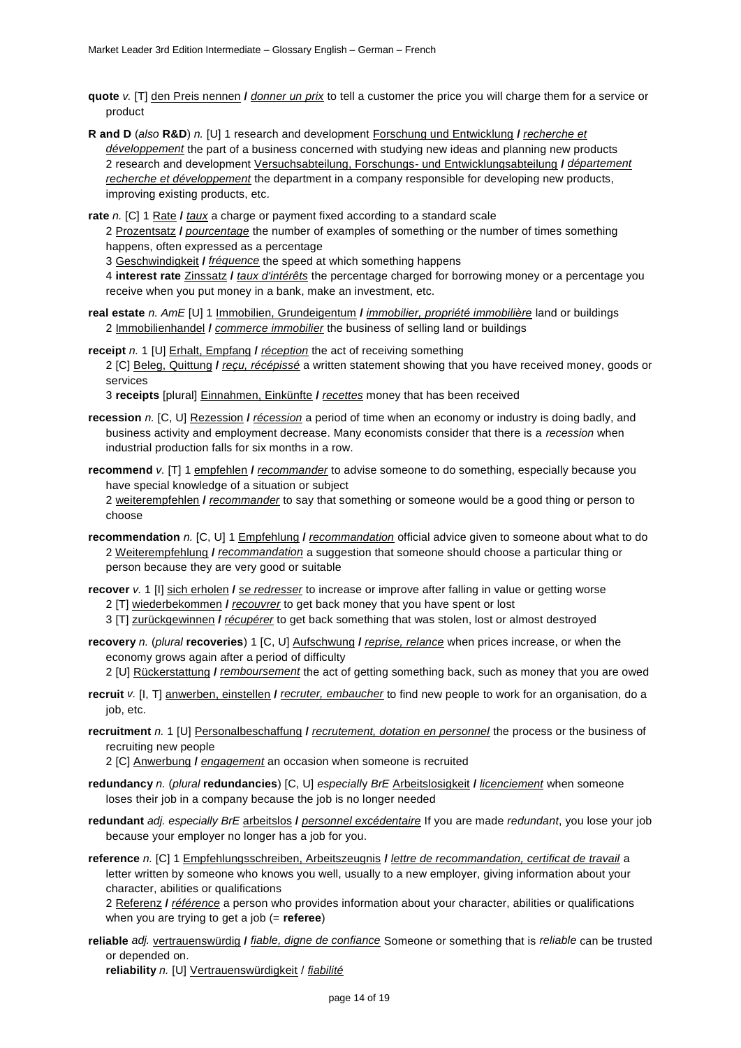- **quote** *v.* [T] den Preis nennen **/** *donner un prix* to tell a customer the price you will charge them for a service or product
- **R and D** (*also* **R&D**) *n.* [U] 1 research and development Forschung und Entwicklung **/** *recherche et développement* the part of a business concerned with studying new ideas and planning new products 2 research and development Versuchsabteilung, Forschungs- und Entwicklungsabteilung **/** *département recherche et développement* the department in a company responsible for developing new products, improving existing products, etc.

**rate** *n.* [C] 1 Rate **/** *taux* a charge or payment fixed according to a standard scale

2 Prozentsatz **/** *pourcentage* the number of examples of something or the number of times something happens, often expressed as a percentage

3 Geschwindigkeit **/** *fréquence* the speed at which something happens

4 **interest rate** Zinssatz **/** *taux d'intérêts* the percentage charged for borrowing money or a percentage you receive when you put money in a bank, make an investment, etc.

- **real estate** *n. AmE* [U] 1 Immobilien, Grundeigentum **/** *immobilier, propriété immobilière* land or buildings 2 Immobilienhandel **/** *commerce immobilier* the business of selling land or buildings
- **receipt** *n.* 1 [U] Erhalt, Empfang **/** *réception* the act of receiving something 2 [C] Beleg, Quittung **/** *reçu, récépissé* a written statement showing that you have received money, goods or services

3 **receipts** [plural] Einnahmen, Einkünfte **/** *recettes* money that has been received

- **recession** *n.* [C, U] Rezession **/** *récession* a period of time when an economy or industry is doing badly, and business activity and employment decrease. Many economists consider that there is a *recession* when industrial production falls for six months in a row.
- **recommend** *v.* [T] 1 empfehlen **/** *recommander* to advise someone to do something, especially because you have special knowledge of a situation or subject

2 weiterempfehlen **/** *recommander* to say that something or someone would be a good thing or person to choose

**recommendation** *n.* [C, U] 1 Empfehlung **/** *recommandation* official advice given to someone about what to do 2 Weiterempfehlung **/** *recommandation* a suggestion that someone should choose a particular thing or person because they are very good or suitable

**recover** *v.* 1 [I] sich erholen **/** *se redresser* to increase or improve after falling in value or getting worse 2 [T] wiederbekommen **/** *recouvrer* to get back money that you have spent or lost

- 3 [T] zurückgewinnen **/** *récupérer* to get back something that was stolen, lost or almost destroyed
- **recovery** *n.* (*plural* **recoveries**) 1 [C, U] Aufschwung **/** *reprise, relance* when prices increase, or when the economy grows again after a period of difficulty

2 [U] Rückerstattung **/** *remboursement* the act of getting something back, such as money that you are owed

- **recruit** *v.* [I, T] anwerben, einstellen **/** *recruter, embaucher* to find new people to work for an organisation, do a job, etc.
- **recruitment** *n.* 1 [U] Personalbeschaffung **/** *recrutement, dotation en personnel* the process or the business of recruiting new people

2 [C] Anwerbung **/** *engagement* an occasion when someone is recruited

- **redundancy** *n.* (*plural* **redundancies**) [C, U] *especiall*y *BrE* Arbeitslosigkeit **/** *licenciement* when someone loses their job in a company because the job is no longer needed
- **redundant** *adj. especially BrE* arbeitslos **/** *personnel excédentaire* If you are made *redundant*, you lose your job because your employer no longer has a job for you.
- **reference** *n.* [C] 1 Empfehlungsschreiben, Arbeitszeugnis **/** *lettre de recommandation, certificat de travail* a letter written by someone who knows you well, usually to a new employer, giving information about your character, abilities or qualifications

2 Referenz **/** *référence* a person who provides information about your character, abilities or qualifications when you are trying to get a job (= **referee**)

**reliable** *adj.* vertrauenswürdig **/** *fiable, digne de confiance* Someone or something that is *reliable* can be trusted or depended on.

**reliability** *n.* [U] Vertrauenswürdigkeit / *fiabilité*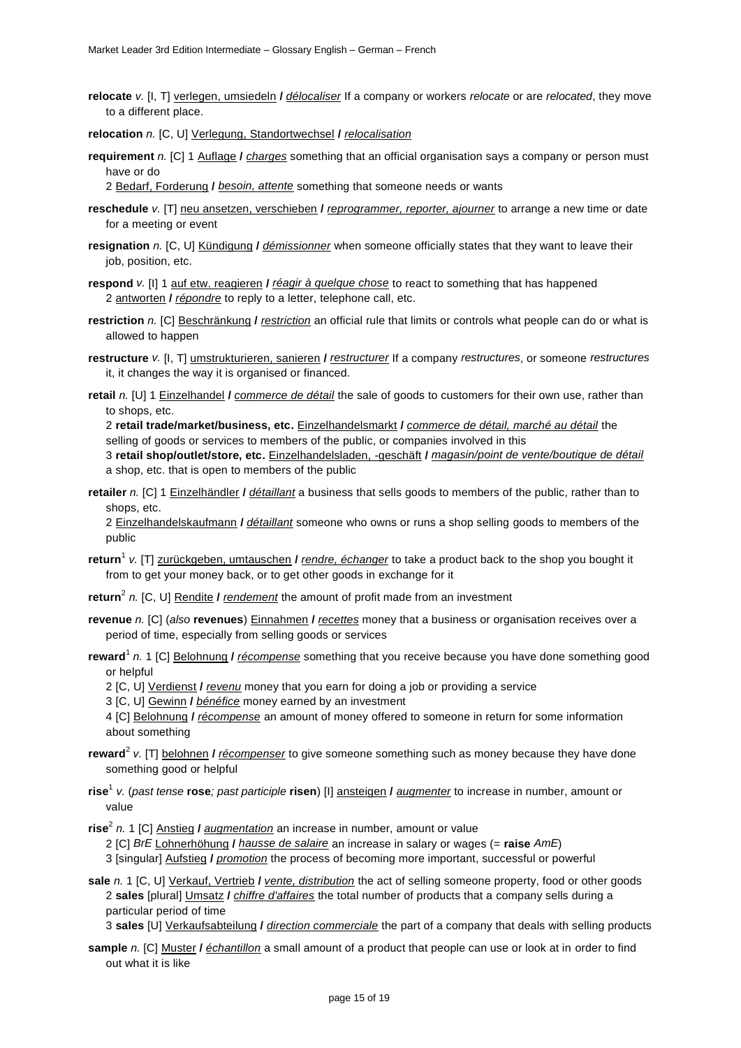**relocate** *v.* [I, T] verlegen, umsiedeln **/** *délocaliser* If a company or workers *relocate* or are *relocated*, they move to a different place.

**relocation** *n.* [C, U] Verlegung, Standortwechsel **/** *relocalisation*

**requirement** *n.* [C] 1 Auflage **/** *charges* something that an official organisation says a company or person must have or do

2 Bedarf, Forderung **/** *besoin, attente* something that someone needs or wants

- **reschedule** *v.* [T] neu ansetzen, verschieben **/** *reprogrammer, reporter, ajourner* to arrange a new time or date for a meeting or event
- **resignation** *n.* [C, U] Kündigung **/** *démissionner* when someone officially states that they want to leave their job, position, etc.
- **respond** *v*. [I] 1 auf etw. reagieren *I réagir à quelque chose* to react to something that has happened 2 antworten **/** *répondre* to reply to a letter, telephone call, etc.
- **restriction** *n.* [C] Beschränkung **/** *restriction* an official rule that limits or controls what people can do or what is allowed to happen
- **restructure** *v.* [I, T] umstrukturieren, sanieren **/** *restructurer* If a company *restructures*, or someone *restructures*  it, it changes the way it is organised or financed.
- **retail** *n.* [U] 1 Einzelhandel **/** *commerce de détail* the sale of goods to customers for their own use, rather than to shops, etc.

2 **retail trade/market/business, etc.** Einzelhandelsmarkt **/** *commerce de détail, marché au détail* the selling of goods or services to members of the public, or companies involved in this 3 **retail shop/outlet/store, etc.** Einzelhandelsladen, -geschäft **/** *magasin/point de vente/boutique de détail* a shop, etc. that is open to members of the public

**retailer** *n.* [C] 1 Einzelhändler **/** *détaillant* a business that sells goods to members of the public, rather than to shops, etc.

2 Einzelhandelskaufmann **/** *détaillant* someone who owns or runs a shop selling goods to members of the public

**return**<sup>1</sup> *v.* [T] zurückgeben, umtauschen **/** *rendre, échanger* to take a product back to the shop you bought it from to get your money back, or to get other goods in exchange for it

**return**<sup>2</sup> *n.* [C, U] Rendite **/** *rendement* the amount of profit made from an investment

**revenue** *n.* [C] (*also* **revenues**) Einnahmen **/** *recettes* money that a business or organisation receives over a period of time, especially from selling goods or services

**reward**<sup>1</sup> *n.* 1 [C] Belohnung **/** *récompense* something that you receive because you have done something good or helpful

2 [C, U] Verdienst **/** *revenu* money that you earn for doing a job or providing a service

3 [C, U] Gewinn **/** *bénéfice* money earned by an investment

4 [C] Belohnung **/** *récompense* an amount of money offered to someone in return for some information about something

- **reward**<sup>2</sup> *v.* [T] belohnen **/** *récompenser* to give someone something such as money because they have done something good or helpful
- **rise**<sup>1</sup> *v.* (*past tense* **rose***; past participle* **risen**) [I] ansteigen **/** *augmenter* to increase in number, amount or value

**rise**<sup>2</sup> *n.* 1 [C] Anstieg **/** *augmentation* an increase in number, amount or value

2 [C] *BrE* Lohnerhöhung **/** *hausse de salaire* an increase in salary or wages (= **raise** *AmE*)

3 [singular] Aufstieg **/** *promotion* the process of becoming more important, successful or powerful

**sale** *n.* 1 [C, U] Verkauf, Vertrieb **/** *vente, distribution* the act of selling someone property, food or other goods 2 **sales** [plural] Umsatz **/** *chiffre d'affaires* the total number of products that a company sells during a particular period of time

3 **sales** [U] Verkaufsabteilung **/** *direction commerciale* the part of a company that deals with selling products

**sample** *n.* [C] Muster **/** *échantillon* a small amount of a product that people can use or look at in order to find out what it is like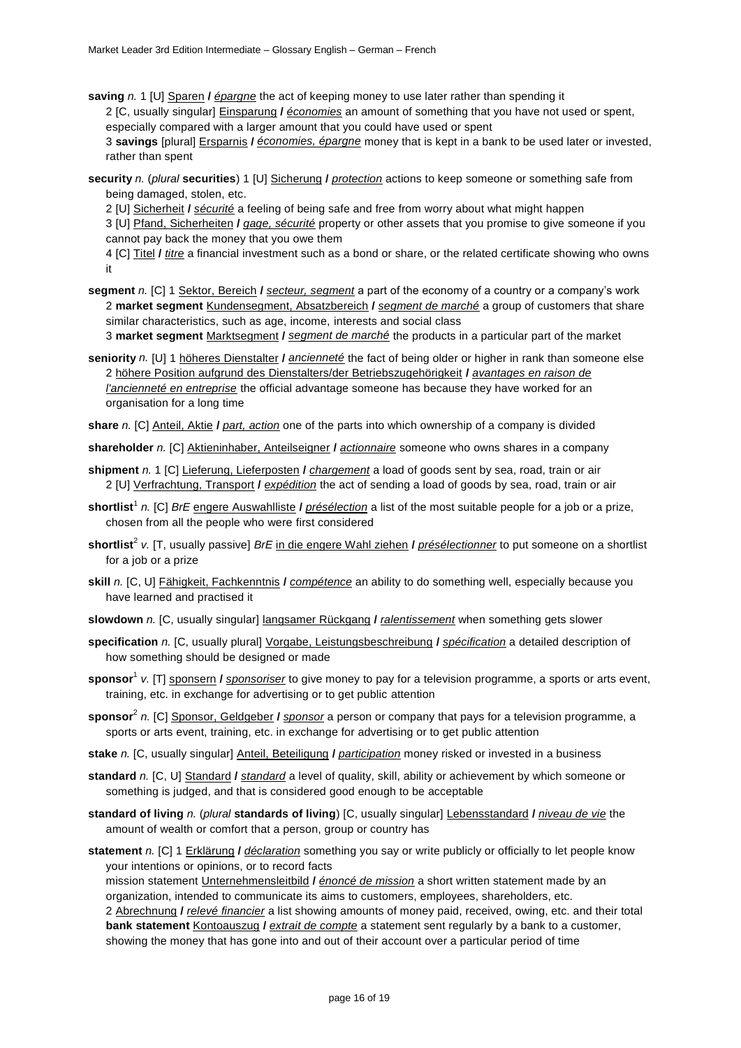**saving** *n.* 1 [U] Sparen **/** *épargne* the act of keeping money to use later rather than spending it

2 [C, usually singular] Einsparung **/** *économies* an amount of something that you have not used or spent, especially compared with a larger amount that you could have used or spent

3 **savings** [plural] Ersparnis **/** *économies, épargne* money that is kept in a bank to be used later or invested, rather than spent

**security** *n.* (*plural* **securities**) 1 [U] Sicherung **/** *protection* actions to keep someone or something safe from being damaged, stolen, etc.

2 [U] Sicherheit **/** *sécurité* a feeling of being safe and free from worry about what might happen

3 [U] Pfand, Sicherheiten **/** *gage, sécurité* property or other assets that you promise to give someone if you cannot pay back the money that you owe them

4 [C] Titel **/** *titre* a financial investment such as a bond or share, or the related certificate showing who owns it

**segment** *n.* [C] 1 Sektor, Bereich **/** *secteur, segment* a part of the economy of a country or a company's work 2 **market segment** Kundensegment, Absatzbereich **/** *segment de marché* a group of customers that share similar characteristics, such as age, income, interests and social class

3 **market segment** Marktsegment **/** *segment de marché* the products in a particular part of the market

**seniority** *n.* [U] 1 höheres Dienstalter **/** *ancienneté* the fact of being older or higher in rank than someone else 2 höhere Position aufgrund des Dienstalters/der Betriebszugehörigkeit **/** *avantages en raison de l'ancienneté en entreprise* the official advantage someone has because they have worked for an organisation for a long time

**share** *n.* [C] Anteil, Aktie **/** *part, action* one of the parts into which ownership of a company is divided

**shareholder** *n.* [C] Aktieninhaber, Anteilseigner **/** *actionnaire* someone who owns shares in a company

**shipment** *n.* 1 [C] Lieferung, Lieferposten **/** *chargement* a load of goods sent by sea, road, train or air 2 [U] Verfrachtung, Transport **/** *expédition* the act of sending a load of goods by sea, road, train or air

**shortlist**<sup>1</sup> *n.* [C] *BrE* engere Auswahlliste **/** *présélection* a list of the most suitable people for a job or a prize, chosen from all the people who were first considered

- **shortlist**<sup>2</sup> *v.* [T, usually passive] *BrE* in die engere Wahl ziehen **/** *présélectionner* to put someone on a shortlist for a job or a prize
- **skill** *n.* [C, U] Fähigkeit, Fachkenntnis **/** *compétence* an ability to do something well, especially because you have learned and practised it
- **slowdown** *n.* [C, usually singular] langsamer Rückgang **/** *ralentissement* when something gets slower
- **specification** *n.* [C, usually plural] Vorgabe, Leistungsbeschreibung **/** *spécification* a detailed description of how something should be designed or made
- **sponsor**<sup>1</sup> *v.* [T] sponsern **/** *sponsoriser* to give money to pay for a television programme, a sports or arts event, training, etc. in exchange for advertising or to get public attention
- **sponsor**<sup>2</sup> *n.* [C] Sponsor, Geldgeber **/** *sponsor* a person or company that pays for a television programme, a sports or arts event, training, etc. in exchange for advertising or to get public attention
- **stake** *n.* [C, usually singular] Anteil, Beteiligung **/** *participation* money risked or invested in a business
- **standard** *n.* [C, U] Standard **/** *standard* a level of quality, skill, ability or achievement by which someone or something is judged, and that is considered good enough to be acceptable
- **standard of living** *n.* (*plural* **standards of living**) [C, usually singular] Lebensstandard **/** *niveau de vie* the amount of wealth or comfort that a person, group or country has
- **statement** *n.* [C] 1 Erklärung **/** *déclaration* something you say or write publicly or officially to let people know your intentions or opinions, or to record facts

mission statement Unternehmensleitbild **/** *énoncé de mission* a short written statement made by an organization, intended to communicate its aims to customers, employees, shareholders, etc.

2 Abrechnung **/** *relevé financier* a list showing amounts of money paid, received, owing, etc. and their total **bank statement** Kontoauszug **/** *extrait de compte* a statement sent regularly by a bank to a customer, showing the money that has gone into and out of their account over a particular period of time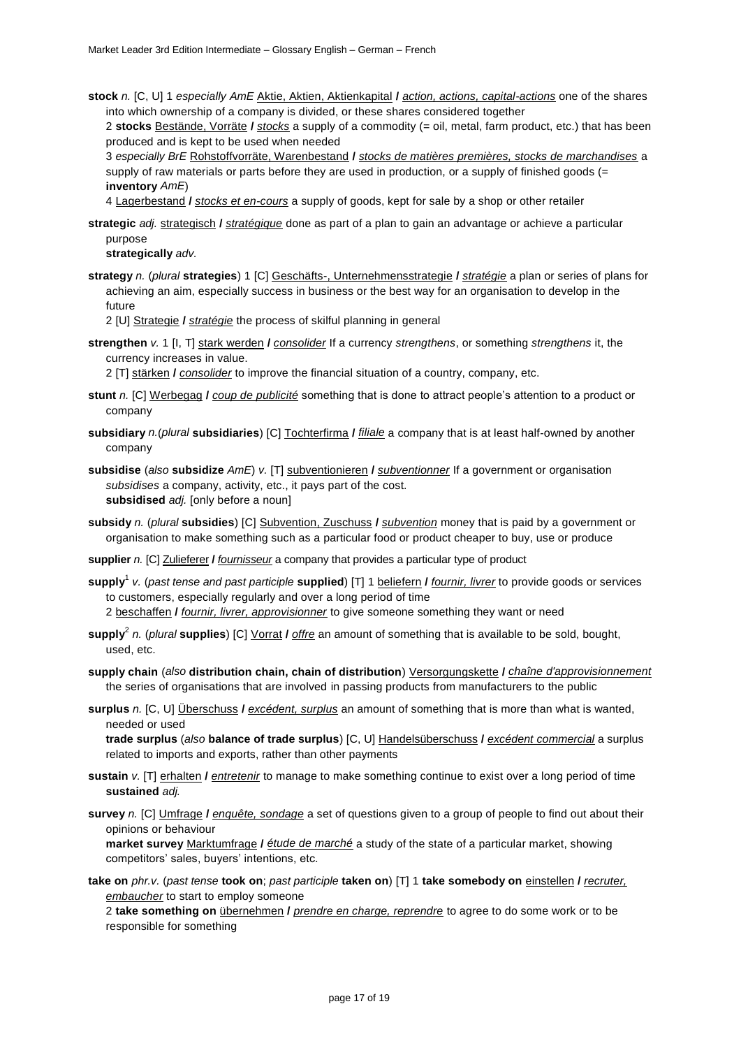**stock** *n.* [C, U] 1 *especially AmE* Aktie, Aktien, Aktienkapital **/** *action, actions, capital-actions* one of the shares into which ownership of a company is divided, or these shares considered together

2 **stocks** Bestände, Vorräte **/** *stocks* a supply of a commodity (= oil, metal, farm product, etc.) that has been produced and is kept to be used when needed

3 *especially BrE* Rohstoffvorräte, Warenbestand **/** *stocks de matières premières, stocks de marchandises* a supply of raw materials or parts before they are used in production, or a supply of finished goods (= **inventory** *AmE*)

4 Lagerbestand **/** *stocks et en-cours* a supply of goods, kept for sale by a shop or other retailer

**strategic** *adj.* strategisch **/** *stratégique* done as part of a plan to gain an advantage or achieve a particular purpose

**strategically** *adv.*

**strategy** *n.* (*plural* **strategies**) 1 [C] Geschäfts-, Unternehmensstrategie **/** *stratégie* a plan or series of plans for achieving an aim, especially success in business or the best way for an organisation to develop in the future

2 [U] Strategie **/** *stratégie* the process of skilful planning in general

**strengthen** *v.* 1 [I, T] stark werden **/** *consolider* If a currency *strengthens*, or something *strengthens* it, the currency increases in value.

2 [T] stärken **/** *consolider* to improve the financial situation of a country, company, etc.

- **stunt** *n.* [C] Werbegag **/** *coup de publicité* something that is done to attract people's attention to a product or company
- **subsidiary** *n.*(*plural* **subsidiaries**) [C] Tochterfirma **/** *filiale* a company that is at least half-owned by another company

**subsidise** (*also* **subsidize** *AmE*) *v.* [T] subventionieren **/** *subventionner* If a government or organisation *subsidises* a company, activity, etc., it pays part of the cost. **subsidised** *adj.* [only before a noun]

- **subsidy** *n.* (*plural* **subsidies**) [C] Subvention, Zuschuss **/** *subvention* money that is paid by a government or organisation to make something such as a particular food or product cheaper to buy, use or produce
- **supplier** *n.* [C] Zulieferer **/** *fournisseur* a company that provides a particular type of product

**supply**<sup>1</sup> *v.* (*past tense and past participle* **supplied**) [T] 1 beliefern **/** *fournir, livrer* to provide goods or services to customers, especially regularly and over a long period of time 2 beschaffen **/** *fournir, livrer, approvisionner* to give someone something they want or need

- **supply**<sup>2</sup> *n.* (*plural* **supplies**) [C] Vorrat **/** *offre* an amount of something that is available to be sold, bought, used, etc.
- **supply chain** (*also* **distribution chain, chain of distribution**) Versorgungskette **/** *chaîne d'approvisionnement* the series of organisations that are involved in passing products from manufacturers to the public
- **surplus** *n.* [C, U] Überschuss **/** *excédent, surplus* an amount of something that is more than what is wanted, needed or used

**trade surplus** (*also* **balance of trade surplus**) [C, U] Handelsüberschuss **/** *excédent commercial* a surplus related to imports and exports, rather than other payments

- **sustain** *v.* [T] erhalten **/** *entretenir* to manage to make something continue to exist over a long period of time **sustained** *adj.*
- **survey** *n.* [C] Umfrage **/** *enquête, sondage* a set of questions given to a group of people to find out about their opinions or behaviour

**market survey** Marktumfrage **/** *étude de marché* a study of the state of a particular market, showing competitors' sales, buyers' intentions, etc.

- **take on** *phr.v.* (*past tense* **took on**; *past participle* **taken on**) [T] 1 **take somebody on** einstellen **/** *recruter, embaucher* to start to employ someone
	- 2 **take something on** übernehmen **/** *prendre en charge, reprendre* to agree to do some work or to be responsible for something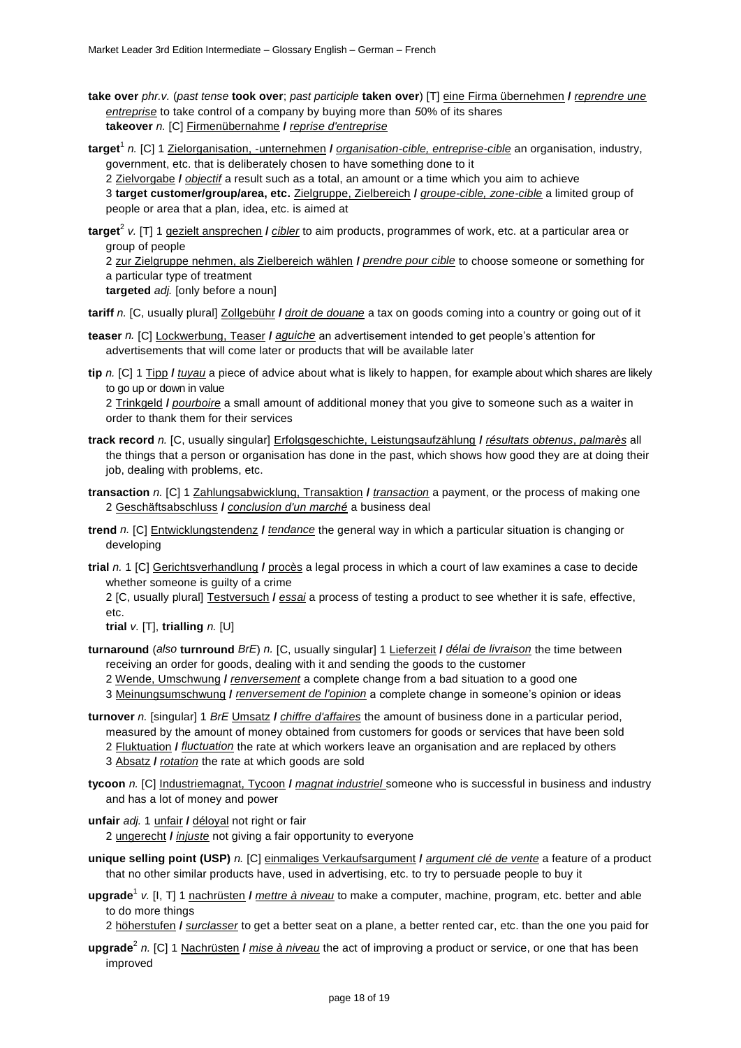- **take over** *phr.v.* (*past tense* **took over**; *past participle* **taken over**) [T] eine Firma übernehmen **/** *reprendre une entreprise* to take control of a company by buying more than *5*0% of its shares **takeover** *n.* [C] Firmenübernahme **/** *reprise d'entreprise*
- **target**<sup>1</sup> *n.* [C] 1 Zielorganisation, -unternehmen **/** *organisation-cible, entreprise-cible* an organisation, industry, government, etc. that is deliberately chosen to have something done to it 2 Zielvorgabe **/** *objectif* a result such as a total, an amount or a time which you aim to achieve 3 **target customer/group/area, etc.** Zielgruppe, Zielbereich **/** *groupe-cible, zone-cible* a limited group of people or area that a plan, idea, etc. is aimed at
- **target**<sup>2</sup> *v.* [T] 1 gezielt ansprechen **/** *cibler* to aim products, programmes of work, etc. at a particular area or group of people

2 zur Zielgruppe nehmen, als Zielbereich wählen **/** *prendre pour cible* to choose someone or something for a particular type of treatment

**targeted** *adj.* [only before a noun]

**tariff** *n.* [C, usually plural] Zollgebühr **/** *droit de douane* a tax on goods coming into a country or going out of it

- **teaser** *n.* [C] Lockwerbung, Teaser **/** *aguiche* an advertisement intended to get people's attention for advertisements that will come later or products that will be available later
- **tip** *n.* [C] 1 Tipp **/** *tuyau* a piece of advice about what is likely to happen, for example about which shares are likely to go up or down in value

2 Trinkgeld **/** *pourboire* a small amount of additional money that you give to someone such as a waiter in order to thank them for their services

- **track record** *n.* [C, usually singular] Erfolgsgeschichte, Leistungsaufzählung **/** *résultats obtenus*, *palmarès* all the things that a person or organisation has done in the past, which shows how good they are at doing their job, dealing with problems, etc.
- **transaction** *n.* [C] 1 Zahlungsabwicklung, Transaktion **/** *transaction* a payment, or the process of making one 2 Geschäftsabschluss **/** *conclusion d'un marché* a business deal
- **trend** *n.* [C] Entwicklungstendenz **/** *tendance* the general way in which a particular situation is changing or developing
- **trial** *n.* 1 [C] Gerichtsverhandlung **/** procès a legal process in which a court of law examines a case to decide whether someone is quilty of a crime

2 [C, usually plural] Testversuch **/** *essai* a process of testing a product to see whether it is safe, effective, etc.

**trial** *v.* [T], **trialling** *n.* [U]

**turnaround** (*also* **turnround** *BrE*) *n.* [C, usually singular] 1 Lieferzeit **/** *délai de livraison* the time between receiving an order for goods, dealing with it and sending the goods to the customer

2 Wende, Umschwung **/** *renversement* a complete change from a bad situation to a good one

3 Meinungsumschwung **/** *renversement de l'opinion* a complete change in someone's opinion or ideas

- **turnover** *n.* [singular] 1 *BrE* Umsatz **/** *chiffre d'affaires* the amount of business done in a particular period, measured by the amount of money obtained from customers for goods or services that have been sold 2 Fluktuation **/** *fluctuation* the rate at which workers leave an organisation and are replaced by others 3 Absatz **/** *rotation* the rate at which goods are sold
- **tycoon** *n.* [C] Industriemagnat, Tycoon **/** *magnat industriel* someone who is successful in business and industry and has a lot of money and power

**unfair** *adj.* 1 unfair **/** déloyal not right or fair 2 ungerecht **/** *injuste* not giving a fair opportunity to everyone

- **unique selling point (USP)** *n.* [C] einmaliges Verkaufsargument **/** *argument clé de vente* a feature of a product that no other similar products have, used in advertising, etc. to try to persuade people to buy it
- **upgrade**<sup>1</sup> *v.* [I, T] 1 nachrüsten **/** *mettre à niveau* to make a computer, machine, program, etc. better and able to do more things

2 höherstufen **/** *surclasser* to get a better seat on a plane, a better rented car, etc. than the one you paid for

**upgrade**<sup>2</sup> *n.* [C] 1 Nachrüsten **/** *mise à niveau* the act of improving a product or service, or one that has been improved